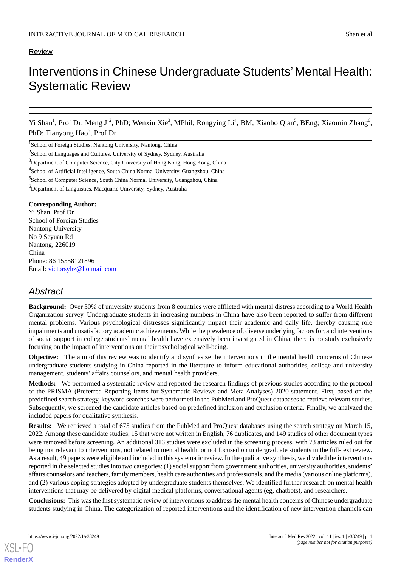# Review

# Interventions in Chinese Undergraduate Students'Mental Health: Systematic Review

Yi Shan<sup>1</sup>, Prof Dr; Meng Ji<sup>2</sup>, PhD; Wenxiu Xie<sup>3</sup>, MPhil; Rongying Li<sup>4</sup>, BM; Xiaobo Qian<sup>5</sup>, BEng; Xiaomin Zhang<sup>6</sup>, PhD; Tianyong Hao<sup>5</sup>, Prof Dr

<sup>1</sup>School of Foreign Studies, Nantong University, Nantong, China

<sup>2</sup>School of Languages and Cultures, University of Sydney, Sydney, Australia

<sup>3</sup>Department of Computer Science, City University of Hong Kong, Hong Kong, China

<sup>4</sup>School of Artificial Intelligence, South China Normal University, Guangzhou, China

5 School of Computer Science, South China Normal University, Guangzhou, China

<sup>6</sup>Department of Linguistics, Macquarie University, Sydney, Australia

## **Corresponding Author:**

Yi Shan, Prof Dr School of Foreign Studies Nantong University No 9 Seyuan Rd Nantong, 226019 China Phone: 86 15558121896 Email: [victorsyhz@hotmail.com](mailto:victorsyhz@hotmail.com)

# *Abstract*

**Background:** Over 30% of university students from 8 countries were afflicted with mental distress according to a World Health Organization survey. Undergraduate students in increasing numbers in China have also been reported to suffer from different mental problems. Various psychological distresses significantly impact their academic and daily life, thereby causing role impairments and unsatisfactory academic achievements. While the prevalence of, diverse underlying factors for, and interventions of social support in college students' mental health have extensively been investigated in China, there is no study exclusively focusing on the impact of interventions on their psychological well-being.

**Objective:** The aim of this review was to identify and synthesize the interventions in the mental health concerns of Chinese undergraduate students studying in China reported in the literature to inform educational authorities, college and university management, students' affairs counselors, and mental health providers.

**Methods:** We performed a systematic review and reported the research findings of previous studies according to the protocol of the PRISMA (Preferred Reporting Items for Systematic Reviews and Meta-Analyses) 2020 statement. First, based on the predefined search strategy, keyword searches were performed in the PubMed and ProQuest databases to retrieve relevant studies. Subsequently, we screened the candidate articles based on predefined inclusion and exclusion criteria. Finally, we analyzed the included papers for qualitative synthesis.

**Results:** We retrieved a total of 675 studies from the PubMed and ProQuest databases using the search strategy on March 15, 2022. Among these candidate studies, 15 that were not written in English, 76 duplicates, and 149 studies of other document types were removed before screening. An additional 313 studies were excluded in the screening process, with 73 articles ruled out for being not relevant to interventions, not related to mental health, or not focused on undergraduate students in the full-text review. As a result, 49 papers were eligible and included in this systematic review. In the qualitative synthesis, we divided the interventions reported in the selected studies into two categories: (1) social support from government authorities, university authorities, students' affairs counselors and teachers, family members, health care authorities and professionals, and the media (various online platforms), and (2) various coping strategies adopted by undergraduate students themselves. We identified further research on mental health interventions that may be delivered by digital medical platforms, conversational agents (eg, chatbots), and researchers.

**Conclusions:** This was the first systematic review of interventions to address the mental health concerns of Chinese undergraduate students studying in China. The categorization of reported interventions and the identification of new intervention channels can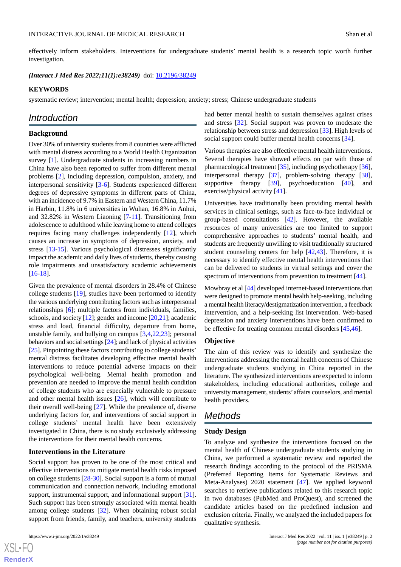effectively inform stakeholders. Interventions for undergraduate students' mental health is a research topic worth further investigation.

*(Interact J Med Res 2022;11(1):e38249)* doi:  $10.2196/38249$ 

#### **KEYWORDS**

systematic review; intervention; mental health; depression; anxiety; stress; Chinese undergraduate students

# *Introduction*

#### **Background**

Over 30% of university students from 8 countries were afflicted with mental distress according to a World Health Organization survey [[1\]](#page-10-0). Undergraduate students in increasing numbers in China have also been reported to suffer from different mental problems [\[2](#page-10-1)], including depression, compulsion, anxiety, and interpersonal sensitivity [[3-](#page-10-2)[6\]](#page-10-3). Students experienced different degrees of depressive symptoms in different parts of China, with an incidence of 9.7% in Eastern and Western China, 11.7% in Harbin, 11.8% in 6 universities in Wuhan, 16.8% in Anhui, and 32.82% in Western Liaoning [[7-](#page-10-4)[11](#page-10-5)]. Transitioning from adolescence to adulthood while leaving home to attend colleges requires facing many challenges independently [[12\]](#page-11-0), which causes an increase in symptoms of depression, anxiety, and stress [\[13](#page-11-1)[-15](#page-11-2)]. Various psychological distresses significantly impact the academic and daily lives of students, thereby causing role impairments and unsatisfactory academic achievements [[16](#page-11-3)[-18](#page-11-4)].

Given the prevalence of mental disorders in 28.4% of Chinese college students [\[19](#page-11-5)], studies have been performed to identify the various underlying contributing factors such as interpersonal relationships [[6\]](#page-10-3); multiple factors from individuals, families, schools, and society [\[12](#page-11-0)]; gender and income [[20](#page-11-6)[,21](#page-11-7)]; academic stress and load, financial difficulty, departure from home, unstable family, and bullying on campus [\[3](#page-10-2),[4](#page-10-6)[,22](#page-11-8),[23\]](#page-11-9); personal behaviors and social settings [\[24\]](#page-11-10); and lack of physical activities [[25\]](#page-11-11). Pinpointing these factors contributing to college students' mental distress facilitates developing effective mental health interventions to reduce potential adverse impacts on their psychological well-being. Mental health promotion and prevention are needed to improve the mental health condition of college students who are especially vulnerable to pressure and other mental health issues [[26\]](#page-11-12), which will contribute to their overall well-being [[27\]](#page-11-13). While the prevalence of, diverse underlying factors for, and interventions of social support in college students' mental health have been extensively investigated in China, there is no study exclusively addressing the interventions for their mental health concerns.

#### **Interventions in the Literature**

Social support has proven to be one of the most critical and effective interventions to mitigate mental health risks imposed on college students [\[28](#page-11-14)-[30\]](#page-11-15). Social support is a form of mutual communication and connection network, including emotional support, instrumental support, and informational support [[31\]](#page-11-16). Such support has been strongly associated with mental health among college students [\[32](#page-11-17)]. When obtaining robust social support from friends, family, and teachers, university students

 $XS$  $\cdot$ FC **[RenderX](http://www.renderx.com/)** had better mental health to sustain themselves against crises and stress [\[32](#page-11-17)]. Social support was proven to moderate the relationship between stress and depression [[33\]](#page-11-18). High levels of social support could buffer mental health concerns [\[34](#page-12-0)].

Various therapies are also effective mental health interventions. Several therapies have showed effects on par with those of pharmacological treatment [[35\]](#page-12-1), including psychotherapy [[36\]](#page-12-2), interpersonal therapy [\[37](#page-12-3)], problem-solving therapy [[38\]](#page-12-4), supportive therapy [[39\]](#page-12-5), psychoeducation [[40\]](#page-12-6), and exercise/physical activity [\[41](#page-12-7)].

Universities have traditionally been providing mental health services in clinical settings, such as face-to-face individual or group-based consultations [[42\]](#page-12-8). However, the available resources of many universities are too limited to support comprehensive approaches to students' mental health, and students are frequently unwilling to visit traditionally structured student counseling centers for help [[42,](#page-12-8)[43](#page-12-9)]. Therefore, it is necessary to identify effective mental health interventions that can be delivered to students in virtual settings and cover the spectrum of interventions from prevention to treatment [[44\]](#page-12-10).

Mowbray et al [\[44](#page-12-10)] developed internet-based interventions that were designed to promote mental health help-seeking, including a mental health literacy/destigmatization intervention, a feedback intervention, and a help-seeking list intervention. Web-based depression and anxiety interventions have been confirmed to be effective for treating common mental disorders [\[45](#page-12-11),[46\]](#page-12-12).

#### **Objective**

The aim of this review was to identify and synthesize the interventions addressing the mental health concerns of Chinese undergraduate students studying in China reported in the literature. The synthesized interventions are expected to inform stakeholders, including educational authorities, college and university management, students' affairs counselors, and mental health providers.

# *Methods*

#### **Study Design**

To analyze and synthesize the interventions focused on the mental health of Chinese undergraduate students studying in China, we performed a systematic review and reported the research findings according to the protocol of the PRISMA (Preferred Reporting Items for Systematic Reviews and Meta-Analyses) 2020 statement [\[47](#page-12-13)]. We applied keyword searches to retrieve publications related to this research topic in two databases (PubMed and ProQuest), and screened the candidate articles based on the predefined inclusion and exclusion criteria. Finally, we analyzed the included papers for qualitative synthesis.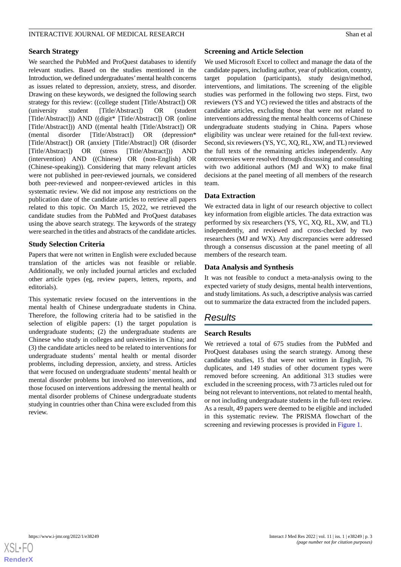# **Search Strategy**

We searched the PubMed and ProQuest databases to identify relevant studies. Based on the studies mentioned in the Introduction, we defined undergraduates'mental health concerns as issues related to depression, anxiety, stress, and disorder. Drawing on these keywords, we designed the following search strategy for this review: ((college student [Title/Abstract]) OR (university student [Title/Abstract]) OR (student [Title/Abstract])) AND ((digit\* [Title/Abstract]) OR (online [Title/Abstract])) AND ((mental health [Title/Abstract]) OR (mental disorder [Title/Abstract]) OR (depression\* [Title/Abstract]) OR (anxiety [Title/Abstract]) OR (disorder [Title/Abstract]) OR (stress [Title/Abstract])) AND (intervention) AND ((Chinese) OR (non-English) OR (Chinese-speaking)). Considering that many relevant articles were not published in peer-reviewed journals, we considered both peer-reviewed and nonpeer-reviewed articles in this systematic review. We did not impose any restrictions on the publication date of the candidate articles to retrieve all papers related to this topic. On March 15, 2022, we retrieved the candidate studies from the PubMed and ProQuest databases using the above search strategy. The keywords of the strategy were searched in the titles and abstracts of the candidate articles.

# **Study Selection Criteria**

Papers that were not written in English were excluded because translation of the articles was not feasible or reliable. Additionally, we only included journal articles and excluded other article types (eg, review papers, letters, reports, and editorials).

This systematic review focused on the interventions in the mental health of Chinese undergraduate students in China. Therefore, the following criteria had to be satisfied in the selection of eligible papers: (1) the target population is undergraduate students; (2) the undergraduate students are Chinese who study in colleges and universities in China; and (3) the candidate articles need to be related to interventions for undergraduate students' mental health or mental disorder problems, including depression, anxiety, and stress. Articles that were focused on undergraduate students' mental health or mental disorder problems but involved no interventions, and those focused on interventions addressing the mental health or mental disorder problems of Chinese undergraduate students studying in countries other than China were excluded from this review.

#### **Screening and Article Selection**

We used Microsoft Excel to collect and manage the data of the candidate papers, including author, year of publication, country, target population (participants), study design/method, interventions, and limitations. The screening of the eligible studies was performed in the following two steps. First, two reviewers (YS and YC) reviewed the titles and abstracts of the candidate articles, excluding those that were not related to interventions addressing the mental health concerns of Chinese undergraduate students studying in China. Papers whose eligibility was unclear were retained for the full-text review. Second, six reviewers (YS, YC, XQ, RL, XW, and TL) reviewed the full texts of the remaining articles independently. Any controversies were resolved through discussing and consulting with two additional authors (MJ and WX) to make final decisions at the panel meeting of all members of the research team.

# **Data Extraction**

We extracted data in light of our research objective to collect key information from eligible articles. The data extraction was performed by six researchers (YS, YC, XQ, RL, XW, and TL) independently, and reviewed and cross-checked by two researchers (MJ and WX). Any discrepancies were addressed through a consensus discussion at the panel meeting of all members of the research team.

# **Data Analysis and Synthesis**

It was not feasible to conduct a meta-analysis owing to the expected variety of study designs, mental health interventions, and study limitations. As such, a descriptive analysis was carried out to summarize the data extracted from the included papers.

# *Results*

# **Search Results**

We retrieved a total of 675 studies from the PubMed and ProQuest databases using the search strategy. Among these candidate studies, 15 that were not written in English, 76 duplicates, and 149 studies of other document types were removed before screening. An additional 313 studies were excluded in the screening process, with 73 articles ruled out for being not relevant to interventions, not related to mental health, or not including undergraduate students in the full-text review. As a result, 49 papers were deemed to be eligible and included in this systematic review. The PRISMA flowchart of the screening and reviewing processes is provided in [Figure 1](#page-3-0).

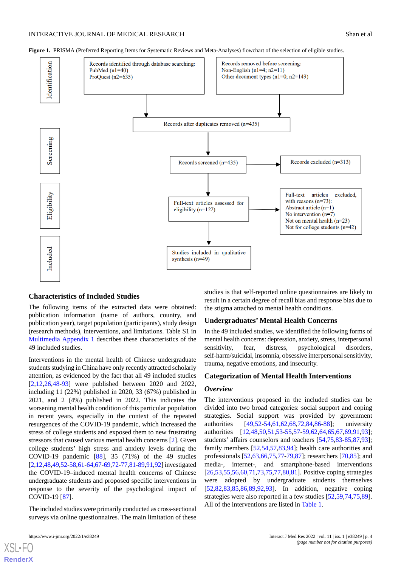

<span id="page-3-0"></span>**Figure 1.** PRISMA (Preferred Reporting Items for Systematic Reviews and Meta-Analyses) flowchart of the selection of eligible studies.

#### **Characteristics of Included Studies**

The following items of the extracted data were obtained: publication information (name of authors, country, and publication year), target population (participants), study design (research methods), interventions, and limitations. Table S1 in [Multimedia Appendix 1](#page-10-7) describes these characteristics of the 49 included studies.

Interventions in the mental health of Chinese undergraduate students studying in China have only recently attracted scholarly attention, as evidenced by the fact that all 49 included studies [[2](#page-10-1)[,12](#page-11-0),[26](#page-11-12)[,48](#page-12-14)-[93\]](#page-14-0) were published between 2020 and 2022, including 11 (22%) published in 2020, 33 (67%) published in 2021, and 2 (4%) published in 2022. This indicates the worsening mental health condition of this particular population in recent years, especially in the context of the repeated resurgences of the COVID-19 pandemic, which increased the stress of college students and exposed them to new frustrating stressors that caused various mental health concerns [\[2\]](#page-10-1). Given college students' high stress and anxiety levels during the COVID-19 pandemic [\[88](#page-14-1)], 35 (71%) of the 49 studies [[2,](#page-10-1)[12](#page-11-0),[48](#page-12-14),[49,](#page-12-15)[52](#page-12-16)[-58](#page-13-0),[61](#page-13-1)-[64](#page-13-2)[,67-](#page-13-3)[69](#page-13-4)[,72](#page-13-5)-[77](#page-14-2),[81-](#page-14-3)[89](#page-14-4)[,91](#page-14-5),[92](#page-14-6)] investigated the COVID-19–induced mental health concerns of Chinese undergraduate students and proposed specific interventions in response to the severity of the psychological impact of COVID-19 [[87\]](#page-14-7).

The included studies were primarily conducted as cross-sectional surveys via online questionnaires. The main limitation of these

[XSL](http://www.w3.org/Style/XSL)•FO **[RenderX](http://www.renderx.com/)**

studies is that self-reported online questionnaires are likely to result in a certain degree of recall bias and response bias due to the stigma attached to mental health conditions.

#### **Undergraduates' Mental Health Concerns**

In the 49 included studies, we identified the following forms of mental health concerns: depression, anxiety, stress, interpersonal sensitivity, fear, distress, psychological disorders, self-harm/suicidal, insomnia, obsessive interpersonal sensitivity, trauma, negative emotions, and insecurity.

#### **Categorization of Mental Health Interventions**

#### *Overview*

The interventions proposed in the included studies can be divided into two broad categories: social support and coping strategies. Social support was provided by government authorities [\[49](#page-12-15)[,52](#page-12-16)-[54](#page-12-17)[,61](#page-13-1),[62](#page-13-6)[,68](#page-13-7),[72](#page-13-5)[,84](#page-14-8),[86](#page-14-9)[-88](#page-14-1)]; university authorities [[12](#page-11-0)[,48](#page-12-14),[50,](#page-12-18)[51,](#page-12-19)[53](#page-12-20)[-55](#page-12-21),[57-](#page-13-8)[59](#page-13-9),[62,](#page-13-6)[64](#page-13-2),[65,](#page-13-10)[67](#page-13-3),[69,](#page-13-4)[91](#page-14-5),[93\]](#page-14-0); students' affairs counselors and teachers [\[54](#page-12-17),[75](#page-13-11)[,83](#page-14-10)-[85,](#page-14-11)[87](#page-14-7),[93\]](#page-14-0); family members [\[52](#page-12-16),[54,](#page-12-17)[57](#page-13-8),[83,](#page-14-10)[94](#page-14-12)]; health care authorities and professionals [\[52](#page-12-16),[63,](#page-13-12)[66](#page-13-13),[75,](#page-13-11)[77](#page-14-2)-[79,](#page-14-13)[87](#page-14-7)]; researchers [\[70](#page-13-14),[85\]](#page-14-11); and media-, internet-, and smartphone-based interventions [[26,](#page-11-12)[53,](#page-12-20)[55](#page-12-21)[,56](#page-13-15),[60,](#page-13-16)[71,](#page-13-17)[73](#page-13-18)[,75](#page-13-11),[77,](#page-14-2)[80,](#page-14-14)[81\]](#page-14-3). Positive coping strategies were adopted by undergraduate students themselves [[52,](#page-12-16)[82,](#page-14-15)[83](#page-14-10)[,85](#page-14-11),[86,](#page-14-9)[89,](#page-14-4)[92](#page-14-6)[,93](#page-14-0)]. In addition, negative coping strategies were also reported in a few studies [[52](#page-12-16)[,59](#page-13-9),[74](#page-13-19)[,75](#page-13-11),[89\]](#page-14-4). All of the interventions are listed in [Table 1.](#page-4-0)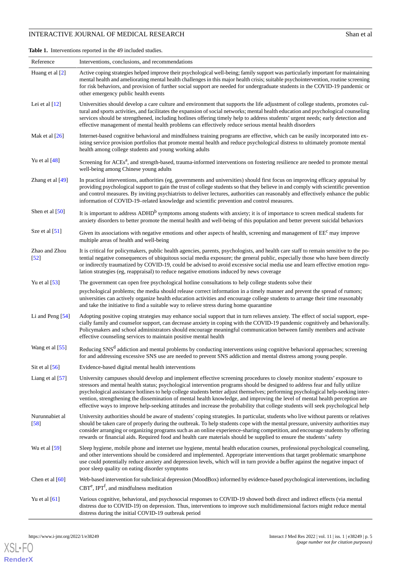<span id="page-4-0"></span>**Table 1.** Interventions reported in the 49 included studies.

| Reference                          | Interventions, conclusions, and recommendations                                                                                                                                                                                                                                                                                                                                                                                                                                                                                                                                                                                                                   |
|------------------------------------|-------------------------------------------------------------------------------------------------------------------------------------------------------------------------------------------------------------------------------------------------------------------------------------------------------------------------------------------------------------------------------------------------------------------------------------------------------------------------------------------------------------------------------------------------------------------------------------------------------------------------------------------------------------------|
| Huang et al $[2]$                  | Active coping strategies helped improve their psychological well-being; family support was particularly important for maintaining<br>mental health and ameliorating mental health challenges in this major health crisis; suitable psychointervention, routine screening<br>for risk behaviors, and provision of further social support are needed for undergraduate students in the COVID-19 pandemic or<br>other emergency public health events                                                                                                                                                                                                                 |
| Lei et al $[12]$                   | Universities should develop a care culture and environment that supports the life adjustment of college students, promotes cul-<br>tural and sports activities, and facilitates the expansion of social networks; mental health education and psychological counseling<br>services should be strengthened, including hotlines offering timely help to address students' urgent needs; early detection and<br>effective management of mental health problems can effectively reduce serious mental health disorders                                                                                                                                                |
| Mak et al $[26]$                   | Internet-based cognitive behavioral and mindfulness training programs are effective, which can be easily incorporated into ex-<br>isting service provision portfolios that promote mental health and reduce psychological distress to ultimately promote mental<br>health among college students and young working adults                                                                                                                                                                                                                                                                                                                                         |
| Yu et al $[48]$                    | Screening for ACEs <sup>a</sup> , and strength-based, trauma-informed interventions on fostering resilience are needed to promote mental<br>well-being among Chinese young adults                                                                                                                                                                                                                                                                                                                                                                                                                                                                                 |
| Zhang et al $[49]$                 | In practical interventions, authorities (eg, governments and universities) should first focus on improving efficacy appraisal by<br>providing psychological support to gain the trust of college students so that they believe in and comply with scientific prevention<br>and control measures. By inviting psychiatrists to deliver lectures, authorities can reasonably and effectively enhance the public<br>information of COVID-19-related knowledge and scientific prevention and control measures.                                                                                                                                                        |
| Shen et al $[50]$                  | It is important to address ADHD <sup>b</sup> symptoms among students with anxiety; it is of importance to screen medical students for<br>anxiety disorders to better promote the mental health and well-being of this population and better prevent suicidal behaviors                                                                                                                                                                                                                                                                                                                                                                                            |
| Sze et al $[51]$                   | Given its associations with negative emotions and other aspects of health, screening and management of EE <sup>c</sup> may improve<br>multiple areas of health and well-being                                                                                                                                                                                                                                                                                                                                                                                                                                                                                     |
| Zhao and Zhou<br>$\left[52\right]$ | It is critical for policymakers, public health agencies, parents, psychologists, and health care staff to remain sensitive to the po-<br>tential negative consequences of ubiquitous social media exposure; the general public, especially those who have been directly<br>or indirectly traumatized by COVID-19, could be advised to avoid excessive social media use and learn effective emotion regu-<br>lation strategies (eg, reappraisal) to reduce negative emotions induced by news coverage                                                                                                                                                              |
| Yu et al $[53]$                    | The government can open free psychological hotline consultations to help college students solve their                                                                                                                                                                                                                                                                                                                                                                                                                                                                                                                                                             |
|                                    | psychological problems; the media should release correct information in a timely manner and prevent the spread of rumors;<br>universities can actively organize health education activities and encourage college students to arrange their time reasonably<br>and take the initiative to find a suitable way to relieve stress during home quarantine                                                                                                                                                                                                                                                                                                            |
| Li and Peng [54]                   | Adopting positive coping strategies may enhance social support that in turn relieves anxiety. The effect of social support, espe-<br>cially family and counselor support, can decrease anxiety in coping with the COVID-19 pandemic cognitively and behaviorally.<br>Policymakers and school administrators should encourage meaningful communication between family members and activate<br>effective counseling services to maintain positive mental health                                                                                                                                                                                                     |
| Wang et al [55]                    | Reducing SNS <sup>d</sup> addiction and mental problems by conducting interventions using cognitive behavioral approaches; screening<br>for and addressing excessive SNS use are needed to prevent SNS addiction and mental distress among young people.                                                                                                                                                                                                                                                                                                                                                                                                          |
| Sit et al $[56]$                   | Evidence-based digital mental health interventions                                                                                                                                                                                                                                                                                                                                                                                                                                                                                                                                                                                                                |
| Liang et al [57]                   | University campuses should develop and implement effective screening procedures to closely monitor students' exposure to<br>stressors and mental health status; psychological intervention programs should be designed to address fear and fully utilize<br>psychological assistance hotlines to help college students better adjust themselves; performing psychological help-seeking inter-<br>vention, strengthening the dissemination of mental health knowledge, and improving the level of mental health perception are<br>effective ways to improve help-seeking attitudes and increase the probability that college students will seek psychological help |
| Nurunnabiet al<br>[58]             | University authorities should be aware of students' coping strategies. In particular, students who live without parents or relatives<br>should be taken care of properly during the outbreak. To help students cope with the mental pressure, university authorities may<br>consider arranging or organizing programs such as an online experience-sharing competition, and encourage students by offering<br>rewards or financial aids. Required food and health care materials should be supplied to ensure the students' safety                                                                                                                                |
| Wu et al $[59]$                    | Sleep hygiene, mobile phone and internet use hygiene, mental health education courses, professional psychological counseling,<br>and other interventions should be considered and implemented. Appropriate interventions that target problematic smartphone<br>use could potentially reduce anxiety and depression levels, which will in turn provide a buffer against the negative impact of<br>poor sleep quality on eating disorder symptoms                                                                                                                                                                                                                   |
| Chen et al $[60]$                  | Web-based intervention for subclinical depression (MoodBox) informed by evidence-based psychological interventions, including<br>$CBTe$ , IPT <sup>f</sup> , and mindfulness meditation                                                                                                                                                                                                                                                                                                                                                                                                                                                                           |
| Yu et al $[61]$                    | Various cognitive, behavioral, and psychosocial responses to COVID-19 showed both direct and indirect effects (via mental<br>distress due to COVID-19) on depression. Thus, interventions to improve such multidimensional factors might reduce mental<br>distress during the initial COVID-19 outbreak period                                                                                                                                                                                                                                                                                                                                                    |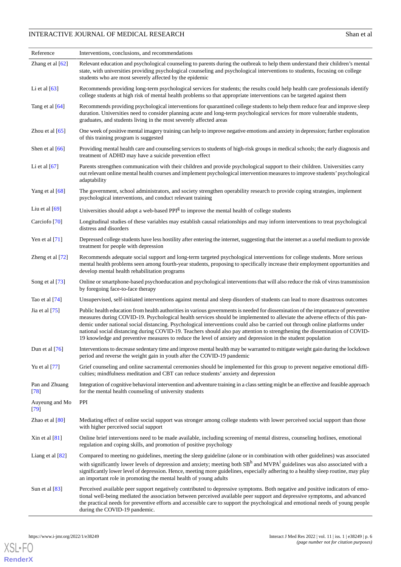| Reference                | Interventions, conclusions, and recommendations                                                                                                                                                                                                                                                                                                                                                                                                                                                                                                                                                                                                  |
|--------------------------|--------------------------------------------------------------------------------------------------------------------------------------------------------------------------------------------------------------------------------------------------------------------------------------------------------------------------------------------------------------------------------------------------------------------------------------------------------------------------------------------------------------------------------------------------------------------------------------------------------------------------------------------------|
| Zhang et al $[62]$       | Relevant education and psychological counseling to parents during the outbreak to help them understand their children's mental<br>state, with universities providing psychological counseling and psychological interventions to students, focusing on college<br>students who are most severely affected by the epidemic                                                                                                                                                                                                                                                                                                                        |
| Li et al $[63]$          | Recommends providing long-term psychological services for students; the results could help health care professionals identify<br>college students at high risk of mental health problems so that appropriate interventions can be targeted against them                                                                                                                                                                                                                                                                                                                                                                                          |
| Tang et al [64]          | Recommends providing psychological interventions for quarantined college students to help them reduce fear and improve sleep<br>duration. Universities need to consider planning acute and long-term psychological services for more vulnerable students,<br>graduates, and students living in the most severely affected areas                                                                                                                                                                                                                                                                                                                  |
| Zhou et al $[65]$        | One week of positive mental imagery training can help to improve negative emotions and anxiety in depression; further exploration<br>of this training program is suggested                                                                                                                                                                                                                                                                                                                                                                                                                                                                       |
| Shen et al $[66]$        | Providing mental health care and counseling services to students of high-risk groups in medical schools; the early diagnosis and<br>treatment of ADHD may have a suicide prevention effect                                                                                                                                                                                                                                                                                                                                                                                                                                                       |
| Li et al $[67]$          | Parents strengthen communication with their children and provide psychological support to their children. Universities carry<br>out relevant online mental health courses and implement psychological intervention measures to improve students' psychological<br>adaptability                                                                                                                                                                                                                                                                                                                                                                   |
| Yang et al [68]          | The government, school administrators, and society strengthen operability research to provide coping strategies, implement<br>psychological interventions, and conduct relevant training                                                                                                                                                                                                                                                                                                                                                                                                                                                         |
| Liu et al $[69]$         | Universities should adopt a web-based PPI <sup>g</sup> to improve the mental health of college students                                                                                                                                                                                                                                                                                                                                                                                                                                                                                                                                          |
| Carciofo <sup>[70]</sup> | Longitudinal studies of these variables may establish causal relationships and may inform interventions to treat psychological<br>distress and disorders                                                                                                                                                                                                                                                                                                                                                                                                                                                                                         |
| Yen et al $[71]$         | Depressed college students have less hostility after entering the internet, suggesting that the internet as a useful medium to provide<br>treatment for people with depression                                                                                                                                                                                                                                                                                                                                                                                                                                                                   |
| Zheng et al [72]         | Recommends adequate social support and long-term targeted psychological interventions for college students. More serious<br>mental health problems seen among fourth-year students, proposing to specifically increase their employment opportunities and<br>develop mental health rehabilitation programs                                                                                                                                                                                                                                                                                                                                       |
| Song et al [73]          | Online or smartphone-based psychoeducation and psychological interventions that will also reduce the risk of virus transmission<br>by foregoing face-to-face therapy                                                                                                                                                                                                                                                                                                                                                                                                                                                                             |
| Tao et al $[74]$         | Unsupervised, self-initiated interventions against mental and sleep disorders of students can lead to more disastrous outcomes                                                                                                                                                                                                                                                                                                                                                                                                                                                                                                                   |
| Jia et al $[75]$         | Public health education from health authorities in various governments is needed for dissemination of the importance of preventive<br>measures during COVID-19. Psychological health services should be implemented to alleviate the adverse effects of this pan-<br>demic under national social distancing. Psychological interventions could also be carried out through online platforms under<br>national social distancing during COVID-19. Teachers should also pay attention to strengthening the dissemination of COVID-<br>19 knowledge and preventive measures to reduce the level of anxiety and depression in the student population |
| Dun et al [76]           | Interventions to decrease sedentary time and improve mental health may be warranted to mitigate weight gain during the lockdown<br>period and reverse the weight gain in youth after the COVID-19 pandemic                                                                                                                                                                                                                                                                                                                                                                                                                                       |
| Yu et al [77]            | Grief counseling and online sacramental ceremonies should be implemented for this group to prevent negative emotional diffi-<br>culties; mindfulness meditation and CBT can reduce students' anxiety and depression                                                                                                                                                                                                                                                                                                                                                                                                                              |
| Pan and Zhuang<br>[78]   | Integration of cognitive behavioral intervention and adventure training in a class setting might be an effective and feasible approach<br>for the mental health counseling of university students                                                                                                                                                                                                                                                                                                                                                                                                                                                |
| Auyeung and Mo<br>$[79]$ | PPI                                                                                                                                                                                                                                                                                                                                                                                                                                                                                                                                                                                                                                              |
| Zhao et al $[80]$        | Mediating effect of online social support was stronger among college students with lower perceived social support than those<br>with higher perceived social support                                                                                                                                                                                                                                                                                                                                                                                                                                                                             |
| Xin et al $[81]$         | Online brief interventions need to be made available, including screening of mental distress, counseling hotlines, emotional<br>regulation and coping skills, and promotion of positive psychology                                                                                                                                                                                                                                                                                                                                                                                                                                               |
| Liang et al $[82]$       | Compared to meeting no guidelines, meeting the sleep guideline (alone or in combination with other guidelines) was associated                                                                                                                                                                                                                                                                                                                                                                                                                                                                                                                    |
|                          | with significantly lower levels of depression and anxiety; meeting both SB <sup>h</sup> and MVPA <sup>1</sup> guidelines was also associated with a<br>significantly lower level of depression. Hence, meeting more guidelines, especially adhering to a healthy sleep routine, may play<br>an important role in promoting the mental health of young adults                                                                                                                                                                                                                                                                                     |
| Sun et al $[83]$         | Perceived available peer support negatively contributed to depressive symptoms. Both negative and positive indicators of emo-<br>tional well-being mediated the association between perceived available peer support and depressive symptoms, and advanced<br>the practical needs for preventive efforts and accessible care to support the psychological and emotional needs of young people<br>during the COVID-19 pandemic.                                                                                                                                                                                                                   |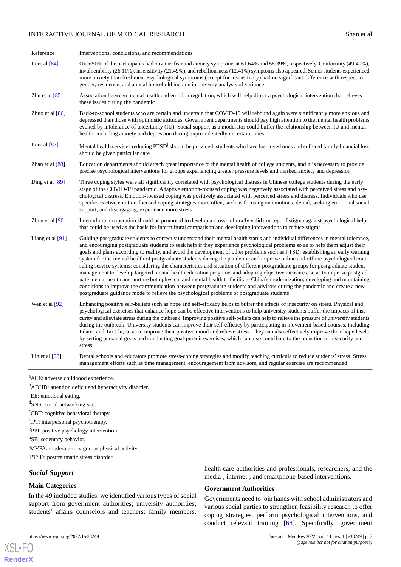| Reference         | Interventions, conclusions, and recommendations                                                                                                                                                                                                                                                                                                                                                                                                                                                                                                                                                                                                                                                                                                                                                                                                                                                                                                                                                                                                                                                                                                               |
|-------------------|---------------------------------------------------------------------------------------------------------------------------------------------------------------------------------------------------------------------------------------------------------------------------------------------------------------------------------------------------------------------------------------------------------------------------------------------------------------------------------------------------------------------------------------------------------------------------------------------------------------------------------------------------------------------------------------------------------------------------------------------------------------------------------------------------------------------------------------------------------------------------------------------------------------------------------------------------------------------------------------------------------------------------------------------------------------------------------------------------------------------------------------------------------------|
| Li et al $[84]$   | Over 50% of the participants had obvious fear and anxiety symptoms at 61.64% and 58.39%, respectively. Conformity (49.49%),<br>invulnerability (26.11%), insensitivity (21.49%), and rebelliousness (12.41%) symptoms also appeared. Senior students experienced<br>more anxiety than freshmen. Psychological symptoms (except for insensitivity) had no significant difference with respect to<br>gender, residence, and annual household income in one-way analysis of variance                                                                                                                                                                                                                                                                                                                                                                                                                                                                                                                                                                                                                                                                             |
| Zhu et al $[85]$  | Association between mental health and emotion regulation, which will help direct a psychological intervention that relieves<br>these issues during the pandemic                                                                                                                                                                                                                                                                                                                                                                                                                                                                                                                                                                                                                                                                                                                                                                                                                                                                                                                                                                                               |
| Zhuo et al $[86]$ | Back-to-school students who are certain and uncertain that COVID-19 will rebound again were significantly more anxious and<br>depressed than those with optimistic attitudes. Government departments should pay high attention to the mental health problems<br>evoked by intolerance of uncertainty (IU). Social support as a moderator could buffer the relationship between IU and mental<br>health, including anxiety and depression during unprecedentedly uncertain times                                                                                                                                                                                                                                                                                                                                                                                                                                                                                                                                                                                                                                                                               |
| Li et al $[87]$   | Mental health services reducing PTSD <sup>j</sup> should be provided; students who have lost loved ones and suffered family financial loss<br>should be given particular care                                                                                                                                                                                                                                                                                                                                                                                                                                                                                                                                                                                                                                                                                                                                                                                                                                                                                                                                                                                 |
| Zhan et al $[88]$ | Education departments should attach great importance to the mental health of college students, and it is necessary to provide<br>precise psychological interventions for groups experiencing greater pressure levels and marked anxiety and depression                                                                                                                                                                                                                                                                                                                                                                                                                                                                                                                                                                                                                                                                                                                                                                                                                                                                                                        |
| Ding et al [89]   | Three coping styles were all significantly correlated with psychological distress in Chinese college students during the early<br>stage of the COVID-19 pandemic. Adaptive emotion-focused coping was negatively associated with perceived stress and psy-<br>chological distress. Emotion-focused coping was positively associated with perceived stress and distress. Individuals who use<br>specific reactive emotion-focused coping strategies more often, such as focusing on emotions, denial, seeking emotional social<br>support, and disengaging, experience more stress.                                                                                                                                                                                                                                                                                                                                                                                                                                                                                                                                                                            |
| Zhou et al $[90]$ | Intercultural cooperation should be promoted to develop a cross-culturally valid concept of stigma against psychological help<br>that could be used as the basis for intercultural comparison and developing interventions to reduce stigma                                                                                                                                                                                                                                                                                                                                                                                                                                                                                                                                                                                                                                                                                                                                                                                                                                                                                                                   |
| Liang et al [91]  | Guiding postgraduate students to correctly understand their mental health status and individual differences in mental tolerance,<br>and encouraging postgraduate students to seek help if they experience psychological problems so as to help them adjust their<br>goals and plans according to reality, and avoid the development of other problems such as PTSD; establishing an early warning<br>system for the mental health of postgraduate students during the pandemic and improve online and offline psychological coun-<br>seling service systems; considering the characteristics and situation of different postgraduate groups for postgraduate student<br>management to develop targeted mental health education programs and adopting objective measures, so as to improve postgrad-<br>uate mental health and nurture both physical and mental health to facilitate China's modernization; developing and maintaining<br>conditions to improve the communication between postgraduate students and advisors during the pandemic and create a new<br>postgraduate guidance mode to relieve the psychological problems of postgraduate students |
| Wen et al [92]    | Enhancing positive self-beliefs such as hope and self-efficacy helps to buffer the effects of insecurity on stress. Physical and<br>psychological exercises that enhance hope can be effective interventions to help university students buffer the impacts of inse-<br>curity and alleviate stress during the outbreak. Improving positive self-beliefs can help to relieve the pressure of university students<br>during the outbreak. University students can improve their self-efficacy by participating in movement-based courses, including<br>Pilates and Tai Chi, so as to improve their positive mood and relieve stress. They can also effectively improve their hope levels<br>by setting personal goals and conducting goal-pursuit exercises, which can also contribute to the reduction of insecurity and<br>stress                                                                                                                                                                                                                                                                                                                            |
| Lin et al $[93]$  | Dental schools and educators promote stress-coping strategies and modify teaching curricula to reduce students' stress. Stress<br>management efforts such as time management, encouragement from advisors, and regular exercise are recommended                                                                                                                                                                                                                                                                                                                                                                                                                                                                                                                                                                                                                                                                                                                                                                                                                                                                                                               |

<sup>a</sup>ACE: adverse childhood experience.

<sup>b</sup>ADHD: attention deficit and hyperactivity disorder.

<sup>c</sup>EE: emotional eating.

<sup>d</sup>SNS: social networking site.

<sup>e</sup>CBT: cognitive behavioral therapy.

<sup>f</sup>IPT: interpersonal psychotherapy.

<sup>g</sup>PPI: positive psychology intervention.

h<sub>SB</sub>: sedentary behavior.

<sup>i</sup>MVPA: moderate-to-vigorous physical activity.

<sup>j</sup>PTSD: posttraumatic stress disorder.

# *Social Support*

#### **Main Categories**

[XSL](http://www.w3.org/Style/XSL)•FO **[RenderX](http://www.renderx.com/)**

In the 49 included studies, we identified various types of social support from government authorities; university authorities; students' affairs counselors and teachers; family members;

health care authorities and professionals; researchers; and the media-, internet-, and smartphone-based interventions.

#### **Government Authorities**

Governments need to join hands with school administrators and various social parties to strengthen feasibility research to offer coping strategies, perform psychological interventions, and conduct relevant training [[68\]](#page-13-7). Specifically, government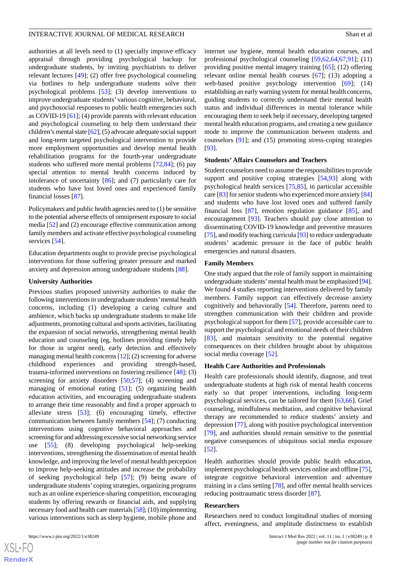authorities at all levels need to (1) specially improve efficacy appraisal through providing psychological backup for undergraduate students, by inviting psychiatrists to deliver relevant lectures [[49\]](#page-12-15); (2) offer free psychological counseling via hotlines to help undergraduate students solve their psychological problems [[53\]](#page-12-20); (3) develop interventions to improve undergraduate students' various cognitive, behavioral, and psychosocial responses to public health emergencies such as COVID-19 [\[61](#page-13-1)]; (4) provide parents with relevant education and psychological counseling to help them understand their children's mental state [\[62\]](#page-13-6); (5) advocate adequate social support and long-term targeted psychological intervention to provide more employment opportunities and develop mental health rehabilitation programs for the fourth-year undergraduate students who suffered more mental problems [\[72](#page-13-5),[84\]](#page-14-8); (6) pay special attention to mental health concerns induced by intolerance of uncertainty [\[86](#page-14-9)]; and (7) particularly care for students who have lost loved ones and experienced family financial losses [[87\]](#page-14-7).

Policymakers and public health agencies need to (1) be sensitive to the potential adverse effects of omnipresent exposure to social media [[52\]](#page-12-16) and (2) encourage effective communication among family members and activate effective psychological counseling services [[54\]](#page-12-17).

Education departments ought to provide precise psychological interventions for those suffering greater pressure and marked anxiety and depression among undergraduate students [\[88](#page-14-1)].

#### **University Authorities**

Previous studies proposed university authorities to make the following interventions in undergraduate students'mental health concerns, including (1) developing a caring culture and ambience, which backs up undergraduate students to make life adjustments, promoting cultural and sports activities, facilitating the expansion of social networks, strengthening mental health education and counseling (eg, hotlines providing timely help for those in urgent need), early detection and effectively managing mental health concerns [[12\]](#page-11-0); (2) screening for adverse childhood experiences and providing strength-based, trauma-informed interventions on fostering resilience [[48\]](#page-12-14); (3) screening for anxiety disorders [[50](#page-12-18)[,57](#page-13-8)]; (4) screening and managing of emotional eating [\[51](#page-12-19)]; (5) organizing health education activities, and encouraging undergraduate students to arrange their time reasonably and find a proper approach to alleviate stress [[53\]](#page-12-20); (6) encouraging timely, effective communication between family members [\[54](#page-12-17)]; (7) conducting interventions using cognitive behavioral approaches and screening for and addressing excessive social networking service use [[55\]](#page-12-21); (8) developing psychological help-seeking interventions, strengthening the dissemination of mental health knowledge, and improving the level of mental health perception to improve help-seeking attitudes and increase the probability of seeking psychological help [[57\]](#page-13-8); (9) being aware of undergraduate students' coping strategies, organizing programs such as an online experience-sharing competition, encouraging students by offering rewards or financial aids, and supplying necessary food and health care materials [\[58\]](#page-13-0); (10) implementing various interventions such as sleep hygiene, mobile phone and

[XSL](http://www.w3.org/Style/XSL)•FO **[RenderX](http://www.renderx.com/)** internet use hygiene, mental health education courses, and professional psychological counseling [\[59](#page-13-9),[62,](#page-13-6)[64](#page-13-2),[67,](#page-13-3)[91](#page-14-5)]; (11) providing positive mental imagery training [\[65](#page-13-10)]; (12) offering relevant online mental health courses [\[67](#page-13-3)]; (13) adopting a web-based positive psychology intervention [\[69](#page-13-4)]; (14) establishing an early warning system for mental health concerns, guiding students to correctly understand their mental health status and individual differences in mental tolerance while encouraging them to seek help if necessary, developing targeted mental health education programs, and creating a new guidance mode to improve the communication between students and counselors [[91\]](#page-14-5); and (15) promoting stress-coping strategies [[93\]](#page-14-0).

#### **Students' Affairs Counselors and Teachers**

Student counselors need to assume the responsibilities to provide support and positive coping strategies  $[54,93]$  $[54,93]$  $[54,93]$  $[54,93]$  along with psychological health services [\[75](#page-13-11),[85\]](#page-14-11), in particular accessible care [\[83](#page-14-10)] for senior students who experienced more anxiety [[84\]](#page-14-8) and students who have lost loved ones and suffered family financial loss [[87\]](#page-14-7), emotion regulation guidance [\[85](#page-14-11)], and encouragement [\[93](#page-14-0)]. Teachers should pay close attention to disseminating COVID-19 knowledge and preventive measures [[75\]](#page-13-11), and modify teaching curricula [[93\]](#page-14-0) to reduce undergraduate students' academic pressure in the face of public health emergencies and natural disasters.

#### **Family Members**

One study argued that the role of family support in maintaining undergraduate students'mental health must be emphasized [\[94](#page-14-12)]. We found 4 studies reporting interventions delivered by family members. Family support can effectively decrease anxiety cognitively and behaviorally [[54\]](#page-12-17). Therefore, parents need to strengthen communication with their children and provide psychological support for them [[57\]](#page-13-8), provide accessible care to support the psychological and emotional needs of their children [[83\]](#page-14-10), and maintain sensitivity to the potential negative consequences on their children brought about by ubiquitous social media coverage [\[52](#page-12-16)].

#### **Health Care Authorities and Professionals**

Health care professionals should identify, diagnose, and treat undergraduate students at high risk of mental health concerns early so that proper interventions, including long-term psychological services, can be tailored for them [[63](#page-13-12)[,66](#page-13-13)]. Grief counseling, mindfulness meditation, and cognitive behavioral therapy are recommended to reduce students' anxiety and depression [[77\]](#page-14-2), along with positive psychological intervention [[79\]](#page-14-13), and authorities should remain sensitive to the potential negative consequences of ubiquitous social media exposure [[52\]](#page-12-16).

Health authorities should provide public health education, implement psychological health services online and offline [\[75](#page-13-11)], integrate cognitive behavioral intervention and adventure training in a class setting [[78\]](#page-14-16), and offer mental health services reducing posttraumatic stress disorder [\[87](#page-14-7)].

#### **Researchers**

Researchers need to conduct longitudinal studies of morning affect, eveningness, and amplitude distinctness to establish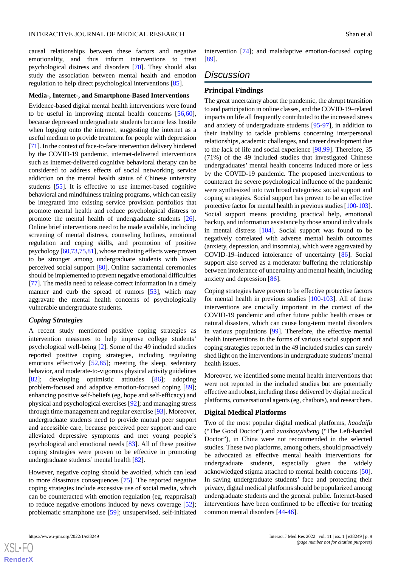causal relationships between these factors and negative emotionality, and thus inform interventions to treat psychological distress and disorders [[70\]](#page-13-14). They should also study the association between mental health and emotion regulation to help direct psychological interventions [[85\]](#page-14-11).

#### **Media-, Internet-, and Smartphone-Based Interventions**

Evidence-based digital mental health interventions were found to be useful in improving mental health concerns [\[56](#page-13-15),[60\]](#page-13-16), because depressed undergraduate students became less hostile when logging onto the internet, suggesting the internet as a useful medium to provide treatment for people with depression [[71\]](#page-13-17). In the context of face-to-face intervention delivery hindered by the COVID-19 pandemic, internet-delivered interventions such as internet-delivered cognitive behavioral therapy can be considered to address effects of social networking service addiction on the mental health status of Chinese university students [\[55](#page-12-21)]. It is effective to use internet-based cognitive behavioral and mindfulness training programs, which can easily be integrated into existing service provision portfolios that promote mental health and reduce psychological distress to promote the mental health of undergraduate students [[26\]](#page-11-12). Online brief interventions need to be made available, including screening of mental distress, counseling hotlines, emotional regulation and coping skills, and promotion of positive psychology [\[60](#page-13-16)[,73](#page-13-18),[75,](#page-13-11)[81\]](#page-14-3), whose mediating effects were proven to be stronger among undergraduate students with lower perceived social support [\[80](#page-14-14)]. Online sacramental ceremonies should be implemented to prevent negative emotional difficulties [[77\]](#page-14-2). The media need to release correct information in a timely manner and curb the spread of rumors [[53\]](#page-12-20), which may aggravate the mental health concerns of psychologically vulnerable undergraduate students.

#### *Coping Strategies*

A recent study mentioned positive coping strategies as intervention measures to help improve college students' psychological well-being [\[2](#page-10-1)]. Some of the 49 included studies reported positive coping strategies, including regulating emotions effectively [[52,](#page-12-16)[85\]](#page-14-11); meeting the sleep, sedentary behavior, and moderate-to-vigorous physical activity guidelines [[82\]](#page-14-15); developing optimistic attitudes [\[86](#page-14-9)]; adopting problem-focused and adaptive emotion-focused coping [[89\]](#page-14-4); enhancing positive self-beliefs (eg, hope and self-efficacy) and physical and psychological exercises [\[92](#page-14-6)]; and managing stress through time management and regular exercise [[93\]](#page-14-0). Moreover, undergraduate students need to provide mutual peer support and accessible care, because perceived peer support and care alleviated depressive symptoms and met young people's psychological and emotional needs [[83\]](#page-14-10). All of these positive coping strategies were proven to be effective in promoting undergraduate students' mental health [[82\]](#page-14-15).

However, negative coping should be avoided, which can lead to more disastrous consequences [\[75](#page-13-11)]. The reported negative coping strategies include excessive use of social media, which can be counteracted with emotion regulation (eg, reappraisal) to reduce negative emotions induced by news coverage [[52\]](#page-12-16); problematic smartphone use [\[59](#page-13-9)]; unsupervised, self-initiated

 $XSI - F($ **[RenderX](http://www.renderx.com/)**

intervention [[74\]](#page-13-19); and maladaptive emotion-focused coping [[89\]](#page-14-4).

# *Discussion*

#### **Principal Findings**

The great uncertainty about the pandemic, the abrupt transition to and participation in online classes, and the COVID-19–related impacts on life all frequently contributed to the increased stress and anxiety of undergraduate students [\[95](#page-14-18)-[97\]](#page-14-19), in addition to their inability to tackle problems concerning interpersonal relationships, academic challenges, and career development due to the lack of life and social experience [\[98](#page-15-0),[99\]](#page-15-1). Therefore, 35 (71%) of the 49 included studies that investigated Chinese undergraduates' mental health concerns induced more or less by the COVID-19 pandemic. The proposed interventions to counteract the severe psychological influence of the pandemic were synthesized into two broad categories: social support and coping strategies. Social support has proven to be an effective protective factor for mental health in previous studies [\[100](#page-15-2)[-103](#page-15-3)]. Social support means providing practical help, emotional backup, and information assistance by those around individuals in mental distress [\[104](#page-15-4)]. Social support was found to be negatively correlated with adverse mental health outcomes (anxiety, depression, and insomnia), which were aggravated by COVID-19–induced intolerance of uncertainty [[86\]](#page-14-9). Social support also served as a moderator buffering the relationship between intolerance of uncertainty and mental health, including anxiety and depression [\[86](#page-14-9)].

Coping strategies have proven to be effective protective factors for mental health in previous studies [\[100](#page-15-2)-[103\]](#page-15-3). All of these interventions are crucially important in the context of the COVID-19 pandemic and other future public health crises or natural disasters, which can cause long-term mental disorders in various populations [[99\]](#page-15-1). Therefore, the effective mental health interventions in the forms of various social support and coping strategies reported in the 49 included studies can surely shed light on the interventions in undergraduate students' mental health issues.

Moreover, we identified some mental health interventions that were not reported in the included studies but are potentially effective and robust, including those delivered by digital medical platforms, conversational agents (eg, chatbots), and researchers.

#### **Digital Medical Platforms**

Two of the most popular digital medical platforms, *haodaifu* ("The Good Doctor") and *zuoshouyisheng* ("The Left-handed Doctor"), in China were not recommended in the selected studies. These two platforms, among others, should proactively be advocated as effective mental health interventions for undergraduate students, especially given the widely acknowledged stigma attached to mental health concerns [[50\]](#page-12-18). In saving undergraduate students' face and protecting their privacy, digital medical platforms should be popularized among undergraduate students and the general public. Internet-based interventions have been confirmed to be effective for treating common mental disorders [\[44](#page-12-10)-[46\]](#page-12-12).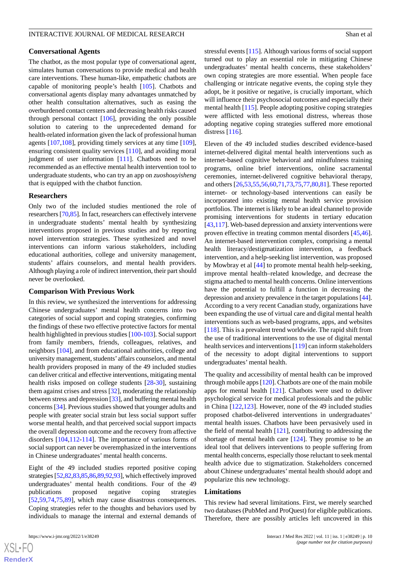#### **Conversational Agents**

The chatbot, as the most popular type of conversational agent, simulates human conversations to provide medical and health care interventions. These human-like, empathetic chatbots are capable of monitoring people's health [\[105](#page-15-5)]. Chatbots and conversational agents display many advantages unmatched by other health consultation alternatives, such as easing the overburdened contact centers and decreasing health risks caused through personal contact  $[106]$  $[106]$ , providing the only possible solution to catering to the unprecedented demand for health-related information given the lack of professional human agents [\[107](#page-15-7),[108\]](#page-15-8), providing timely services at any time [[109\]](#page-15-9), ensuring consistent quality services [[110\]](#page-15-10), and avoiding moral judgment of user information [[111](#page-15-11)]. Chatbots need to be recommended as an effective mental health intervention tool to undergraduate students, who can try an app on *zuoshouyisheng* that is equipped with the chatbot function.

#### **Researchers**

Only two of the included studies mentioned the role of researchers [[70,](#page-13-14)[85\]](#page-14-11). In fact, researchers can effectively intervene in undergraduate students' mental health by synthesizing interventions proposed in previous studies and by reporting novel intervention strategies. These synthesized and novel interventions can inform various stakeholders, including educational authorities, college and university management, students' affairs counselors, and mental health providers. Although playing a role of indirect intervention, their part should never be overlooked.

#### **Comparison With Previous Work**

In this review, we synthesized the interventions for addressing Chinese undergraduates' mental health concerns into two categories of social support and coping strategies, confirming the findings of these two effective protective factors for mental health highlighted in previous studies [\[100](#page-15-2)[-103](#page-15-3)]. Social support from family members, friends, colleagues, relatives, and neighbors [[104\]](#page-15-4), and from educational authorities, college and university management, students' affairs counselors, and mental health providers proposed in many of the 49 included studies can deliver critical and effective interventions, mitigating mental health risks imposed on college students [\[28](#page-11-14)[-30](#page-11-15)], sustaining them against crises and stress [\[32](#page-11-17)], moderating the relationship between stress and depression [[33\]](#page-11-18), and buffering mental health concerns [\[34](#page-12-0)]. Previous studies showed that younger adults and people with greater social strain but less social support suffer worse mental health, and that perceived social support impacts the overall depression outcome and the recovery from affective disorders [[104](#page-15-4)[,112](#page-15-12)-[114\]](#page-15-13). The importance of various forms of social support can never be overemphasized in the interventions in Chinese undergraduates' mental health concerns.

Eight of the 49 included studies reported positive coping strategies [\[52](#page-12-16)[,82](#page-14-15)[,83](#page-14-10)[,85](#page-14-11)[,86](#page-14-9),[89](#page-14-4),[92](#page-14-6)[,93\]](#page-14-0), which effectively improved undergraduates' mental health conditions. Four of the 49 publications proposed negative coping strategies [[52](#page-12-16)[,59](#page-13-9),[74](#page-13-19)[,75](#page-13-11),[89\]](#page-14-4), which may cause disastrous consequences. Coping strategies refer to the thoughts and behaviors used by individuals to manage the internal and external demands of

 $XSJ \cdot F$ **[RenderX](http://www.renderx.com/)** stressful events [\[115\]](#page-15-14). Although various forms of social support turned out to play an essential role in mitigating Chinese undergraduates' mental health concerns, these stakeholders' own coping strategies are more essential. When people face challenging or intricate negative events, the coping style they adopt, be it positive or negative, is crucially important, which will influence their psychosocial outcomes and especially their mental health [[115\]](#page-15-14). People adopting positive coping strategies were afflicted with less emotional distress, whereas those adopting negative coping strategies suffered more emotional distress [[116](#page-15-15)].

Eleven of the 49 included studies described evidence-based internet-delivered digital mental health interventions such as internet-based cognitive behavioral and mindfulness training programs, online brief interventions, online sacramental ceremonies, internet-delivered cognitive behavioral therapy, and others [\[26](#page-11-12),[53](#page-12-20)[,55](#page-12-21),[56](#page-13-15)[,60](#page-13-16),[71](#page-13-17)[,73](#page-13-18),[75](#page-13-11)[,77](#page-14-2),[80](#page-14-14)[,81](#page-14-3)]. These reported internet- or technology-based interventions can easily be incorporated into existing mental health service provision portfolios. The internet is likely to be an ideal channel to provide promising interventions for students in tertiary education [[43](#page-12-9)[,117](#page-15-16)]. Web-based depression and anxiety interventions were proven effective in treating common mental disorders [\[45](#page-12-11),[46\]](#page-12-12). An internet-based intervention complex, comprising a mental health literacy/destigmatization intervention, a feedback intervention, and a help-seeking list intervention, was proposed by Mowbray et al [\[44](#page-12-10)] to promote mental health help-seeking, improve mental health–related knowledge, and decrease the stigma attached to mental health concerns. Online interventions have the potential to fulfill a function in decreasing the depression and anxiety prevalence in the target populations [\[44](#page-12-10)]. According to a very recent Canadian study, organizations have been expanding the use of virtual care and digital mental health interventions such as web-based programs, apps, and websites [[118\]](#page-15-17). This is a prevalent trend worldwide. The rapid shift from the use of traditional interventions to the use of digital mental health services and interventions [[119\]](#page-15-18) can inform stakeholders of the necessity to adopt digital interventions to support undergraduates' mental health.

The quality and accessibility of mental health can be improved through mobile apps [\[120](#page-16-0)]. Chatbots are one of the main mobile apps for mental health [\[121](#page-16-1)]. Chatbots were used to deliver psychological service for medical professionals and the public in China [\[122](#page-16-2),[123\]](#page-16-3). However, none of the 49 included studies proposed chatbot-delivered interventions in undergraduates' mental health issues. Chatbots have been pervasively used in the field of mental health  $[121]$  $[121]$ , contributing to addressing the shortage of mental health care  $[124]$  $[124]$ . They promise to be an ideal tool that delivers interventions to people suffering from mental health concerns, especially those reluctant to seek mental health advice due to stigmatization. Stakeholders concerned about Chinese undergraduates' mental health should adopt and popularize this new technology.

#### **Limitations**

This review had several limitations. First, we merely searched two databases (PubMed and ProQuest) for eligible publications. Therefore, there are possibly articles left uncovered in this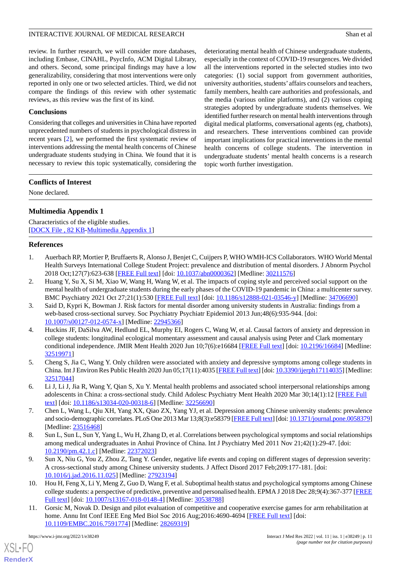review. In further research, we will consider more databases, including Embase, CINAHL, PsycInfo, ACM Digital Library, and others. Second, some principal findings may have a low generalizability, considering that most interventions were only reported in only one or two selected articles. Third, we did not compare the findings of this review with other systematic reviews, as this review was the first of its kind.

# **Conclusions**

Considering that colleges and universities in China have reported unprecedented numbers of students in psychological distress in recent years [\[2](#page-10-1)], we performed the first systematic review of interventions addressing the mental health concerns of Chinese undergraduate students studying in China. We found that it is necessary to review this topic systematically, considering the

deteriorating mental health of Chinese undergraduate students, especially in the context of COVID-19 resurgences. We divided all the interventions reported in the selected studies into two categories: (1) social support from government authorities, university authorities, students' affairs counselors and teachers, family members, health care authorities and professionals, and the media (various online platforms), and (2) various coping strategies adopted by undergraduate students themselves. We identified further research on mental health interventions through digital medical platforms, conversational agents (eg, chatbots), and researchers. These interventions combined can provide important implications for practical interventions in the mental health concerns of college students. The intervention in undergraduate students' mental health concerns is a research topic worth further investigation.

# **Conflicts of Interest**

<span id="page-10-7"></span>None declared.

# **Multimedia Appendix 1**

<span id="page-10-0"></span>Characteristics of the eligible studies. [[DOCX File , 82 KB](https://jmir.org/api/download?alt_name=ijmr_v11i1e38249_app1.docx&filename=0194e7e2e1f0336978021759da70dace.docx)-[Multimedia Appendix 1\]](https://jmir.org/api/download?alt_name=ijmr_v11i1e38249_app1.docx&filename=0194e7e2e1f0336978021759da70dace.docx)

# **References**

- <span id="page-10-1"></span>1. Auerbach RP, Mortier P, Bruffaerts R, Alonso J, Benjet C, Cuijpers P, WHO WMH-ICS Collaborators. WHO World Mental Health Surveys International College Student Project: prevalence and distribution of mental disorders. J Abnorm Psychol 2018 Oct;127(7):623-638 [[FREE Full text](http://europepmc.org/abstract/MED/30211576)] [doi: [10.1037/abn0000362](http://dx.doi.org/10.1037/abn0000362)] [Medline: [30211576\]](http://www.ncbi.nlm.nih.gov/entrez/query.fcgi?cmd=Retrieve&db=PubMed&list_uids=30211576&dopt=Abstract)
- <span id="page-10-2"></span>2. Huang Y, Su X, Si M, Xiao W, Wang H, Wang W, et al. The impacts of coping style and perceived social support on the mental health of undergraduate students during the early phases of the COVID-19 pandemic in China: a multicenter survey. BMC Psychiatry 2021 Oct 27;21(1):530 [[FREE Full text\]](https://bmcpsychiatry.biomedcentral.com/articles/10.1186/s12888-021-03546-y) [doi: [10.1186/s12888-021-03546-y](http://dx.doi.org/10.1186/s12888-021-03546-y)] [Medline: [34706690](http://www.ncbi.nlm.nih.gov/entrez/query.fcgi?cmd=Retrieve&db=PubMed&list_uids=34706690&dopt=Abstract)]
- <span id="page-10-6"></span>3. Said D, Kypri K, Bowman J. Risk factors for mental disorder among university students in Australia: findings from a web-based cross-sectional survey. Soc Psychiatry Psychiatr Epidemiol 2013 Jun;48(6):935-944. [doi: [10.1007/s00127-012-0574-x\]](http://dx.doi.org/10.1007/s00127-012-0574-x) [Medline: [22945366](http://www.ncbi.nlm.nih.gov/entrez/query.fcgi?cmd=Retrieve&db=PubMed&list_uids=22945366&dopt=Abstract)]
- 4. Huckins JF, DaSilva AW, Hedlund EL, Murphy EI, Rogers C, Wang W, et al. Causal factors of anxiety and depression in college students: longitudinal ecological momentary assessment and causal analysis using Peter and Clark momentary conditional independence. JMIR Ment Health 2020 Jun 10;7(6):e16684 [\[FREE Full text\]](https://mental.jmir.org/2020/6/e16684/) [doi: [10.2196/16684](http://dx.doi.org/10.2196/16684)] [Medline: [32519971](http://www.ncbi.nlm.nih.gov/entrez/query.fcgi?cmd=Retrieve&db=PubMed&list_uids=32519971&dopt=Abstract)]
- <span id="page-10-4"></span><span id="page-10-3"></span>5. Cheng S, Jia C, Wang Y. Only children were associated with anxiety and depressive symptoms among college students in China. Int J Environ Res Public Health 2020 Jun 05;17(11):4035 [[FREE Full text\]](https://www.mdpi.com/resolver?pii=ijerph17114035) [doi: [10.3390/ijerph17114035](http://dx.doi.org/10.3390/ijerph17114035)] [Medline: [32517044](http://www.ncbi.nlm.nih.gov/entrez/query.fcgi?cmd=Retrieve&db=PubMed&list_uids=32517044&dopt=Abstract)]
- 6. Li J, Li J, Jia R, Wang Y, Qian S, Xu Y. Mental health problems and associated school interpersonal relationships among adolescents in China: a cross-sectional study. Child Adolesc Psychiatry Ment Health 2020 Mar 30;14(1):12 [[FREE Full](https://capmh.biomedcentral.com/articles/10.1186/s13034-020-00318-6) [text](https://capmh.biomedcentral.com/articles/10.1186/s13034-020-00318-6)] [doi: [10.1186/s13034-020-00318-6\]](http://dx.doi.org/10.1186/s13034-020-00318-6) [Medline: [32256690\]](http://www.ncbi.nlm.nih.gov/entrez/query.fcgi?cmd=Retrieve&db=PubMed&list_uids=32256690&dopt=Abstract)
- 7. Chen L, Wang L, Qiu XH, Yang XX, Qiao ZX, Yang YJ, et al. Depression among Chinese university students: prevalence and socio-demographic correlates. PLoS One 2013 Mar 13;8(3):e58379 [\[FREE Full text\]](https://dx.plos.org/10.1371/journal.pone.0058379) [doi: [10.1371/journal.pone.0058379\]](http://dx.doi.org/10.1371/journal.pone.0058379) [Medline: [23516468](http://www.ncbi.nlm.nih.gov/entrez/query.fcgi?cmd=Retrieve&db=PubMed&list_uids=23516468&dopt=Abstract)]
- 8. Sun L, Sun L, Sun Y, Yang L, Wu H, Zhang D, et al. Correlations between psychological symptoms and social relationships among medical undergraduates in Anhui Province of China. Int J Psychiatry Med 2011 Nov 21;42(1):29-47. [doi: [10.2190/pm.42.1.c\]](http://dx.doi.org/10.2190/pm.42.1.c) [Medline: [22372023](http://www.ncbi.nlm.nih.gov/entrez/query.fcgi?cmd=Retrieve&db=PubMed&list_uids=22372023&dopt=Abstract)]
- <span id="page-10-5"></span>9. Sun X, Niu G, You Z, Zhou Z, Tang Y. Gender, negative life events and coping on different stages of depression severity: A cross-sectional study among Chinese university students. J Affect Disord 2017 Feb;209:177-181. [doi: [10.1016/j.jad.2016.11.025\]](http://dx.doi.org/10.1016/j.jad.2016.11.025) [Medline: [27923194\]](http://www.ncbi.nlm.nih.gov/entrez/query.fcgi?cmd=Retrieve&db=PubMed&list_uids=27923194&dopt=Abstract)
- 10. Hou H, Feng X, Li Y, Meng Z, Guo D, Wang F, et al. Suboptimal health status and psychological symptoms among Chinese college students: a perspective of predictive, preventive and personalised health. EPMA J 2018 Dec 28;9(4):367-377 [\[FREE](http://europepmc.org/abstract/MED/30538788) [Full text\]](http://europepmc.org/abstract/MED/30538788) [doi: [10.1007/s13167-018-0148-4](http://dx.doi.org/10.1007/s13167-018-0148-4)] [Medline: [30538788](http://www.ncbi.nlm.nih.gov/entrez/query.fcgi?cmd=Retrieve&db=PubMed&list_uids=30538788&dopt=Abstract)]
- 11. Gorsic M, Novak D. Design and pilot evaluation of competitive and cooperative exercise games for arm rehabilitation at home. Annu Int Conf IEEE Eng Med Biol Soc 2016 Aug; 2016:4690-4694 [[FREE Full text](http://europepmc.org/abstract/MED/28269319)] [doi: [10.1109/EMBC.2016.7591774](http://dx.doi.org/10.1109/EMBC.2016.7591774)] [Medline: [28269319\]](http://www.ncbi.nlm.nih.gov/entrez/query.fcgi?cmd=Retrieve&db=PubMed&list_uids=28269319&dopt=Abstract)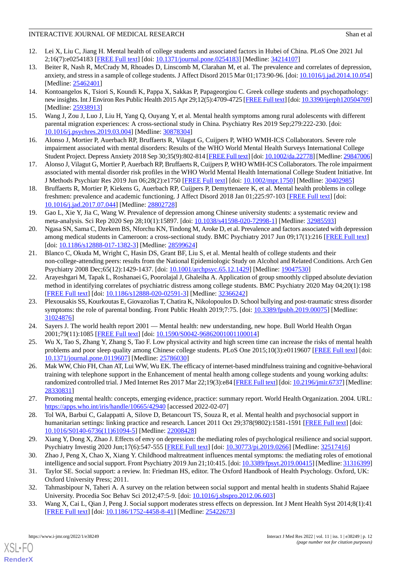- <span id="page-11-0"></span>12. Lei X, Liu C, Jiang H. Mental health of college students and associated factors in Hubei of China. PLoS One 2021 Jul 2;16(7):e0254183 [\[FREE Full text](https://dx.plos.org/10.1371/journal.pone.0254183)] [doi: [10.1371/journal.pone.0254183\]](http://dx.doi.org/10.1371/journal.pone.0254183) [Medline: [34214107](http://www.ncbi.nlm.nih.gov/entrez/query.fcgi?cmd=Retrieve&db=PubMed&list_uids=34214107&dopt=Abstract)]
- <span id="page-11-1"></span>13. Beiter R, Nash R, McCrady M, Rhoades D, Linscomb M, Clarahan M, et al. The prevalence and correlates of depression, anxiety, and stress in a sample of college students. J Affect Disord 2015 Mar 01;173:90-96. [doi: [10.1016/j.jad.2014.10.054\]](http://dx.doi.org/10.1016/j.jad.2014.10.054) [Medline: [25462401](http://www.ncbi.nlm.nih.gov/entrez/query.fcgi?cmd=Retrieve&db=PubMed&list_uids=25462401&dopt=Abstract)]
- 14. Kontoangelos K, Tsiori S, Koundi K, Pappa X, Sakkas P, Papageorgiou C. Greek college students and psychopathology: new insights. Int J Environ Res Public Health 2015 Apr 29;12(5):4709-4725 [[FREE Full text\]](https://www.mdpi.com/resolver?pii=ijerph120504709) [doi: [10.3390/ijerph120504709\]](http://dx.doi.org/10.3390/ijerph120504709) [Medline: [25938913](http://www.ncbi.nlm.nih.gov/entrez/query.fcgi?cmd=Retrieve&db=PubMed&list_uids=25938913&dopt=Abstract)]
- <span id="page-11-3"></span><span id="page-11-2"></span>15. Wang J, Zou J, Luo J, Liu H, Yang Q, Ouyang Y, et al. Mental health symptoms among rural adolescents with different parental migration experiences: A cross-sectional study in China. Psychiatry Res 2019 Sep;279:222-230. [doi: [10.1016/j.psychres.2019.03.004\]](http://dx.doi.org/10.1016/j.psychres.2019.03.004) [Medline: [30878304](http://www.ncbi.nlm.nih.gov/entrez/query.fcgi?cmd=Retrieve&db=PubMed&list_uids=30878304&dopt=Abstract)]
- 16. Alonso J, Mortier P, Auerbach RP, Bruffaerts R, Vilagut G, Cuijpers P, WHO WMH-ICS Collaborators. Severe role impairment associated with mental disorders: Results of the WHO World Mental Health Surveys International College Student Project. Depress Anxiety 2018 Sep 30;35(9):802-814 [\[FREE Full text](http://europepmc.org/abstract/MED/29847006)] [doi: [10.1002/da.22778](http://dx.doi.org/10.1002/da.22778)] [Medline: [29847006\]](http://www.ncbi.nlm.nih.gov/entrez/query.fcgi?cmd=Retrieve&db=PubMed&list_uids=29847006&dopt=Abstract)
- <span id="page-11-4"></span>17. Alonso J, Vilagut G, Mortier P, Auerbach RP, Bruffaerts R, Cuijpers P, WHO WMH-ICS Collaborators. The role impairment associated with mental disorder risk profiles in the WHO World Mental Health International College Student Initiative. Int J Methods Psychiatr Res 2019 Jun 06;28(2):e1750 [\[FREE Full text](http://europepmc.org/abstract/MED/30402985)] [doi: [10.1002/mpr.1750\]](http://dx.doi.org/10.1002/mpr.1750) [Medline: [30402985\]](http://www.ncbi.nlm.nih.gov/entrez/query.fcgi?cmd=Retrieve&db=PubMed&list_uids=30402985&dopt=Abstract)
- <span id="page-11-5"></span>18. Bruffaerts R, Mortier P, Kiekens G, Auerbach RP, Cuijpers P, Demyttenaere K, et al. Mental health problems in college freshmen: prevalence and academic functioning. J Affect Disord 2018 Jan 01;225:97-103 [[FREE Full text](http://europepmc.org/abstract/MED/28802728)] [doi: [10.1016/j.jad.2017.07.044\]](http://dx.doi.org/10.1016/j.jad.2017.07.044) [Medline: [28802728\]](http://www.ncbi.nlm.nih.gov/entrez/query.fcgi?cmd=Retrieve&db=PubMed&list_uids=28802728&dopt=Abstract)
- <span id="page-11-6"></span>19. Gao L, Xie Y, Jia C, Wang W. Prevalence of depression among Chinese university students: a systematic review and meta-analysis. Sci Rep 2020 Sep 28;10(1):15897. [doi: [10.1038/s41598-020-72998-1](http://dx.doi.org/10.1038/s41598-020-72998-1)] [Medline: [32985593\]](http://www.ncbi.nlm.nih.gov/entrez/query.fcgi?cmd=Retrieve&db=PubMed&list_uids=32985593&dopt=Abstract)
- <span id="page-11-7"></span>20. Ngasa SN, Sama C, Dzekem BS, Nforchu KN, Tindong M, Aroke D, et al. Prevalence and factors associated with depression among medical students in Cameroon: a cross-sectional study. BMC Psychiatry 2017 Jun 09;17(1):216 [\[FREE Full text\]](https://bmcpsychiatry.biomedcentral.com/articles/10.1186/s12888-017-1382-3) [doi: [10.1186/s12888-017-1382-3](http://dx.doi.org/10.1186/s12888-017-1382-3)] [Medline: [28599624\]](http://www.ncbi.nlm.nih.gov/entrez/query.fcgi?cmd=Retrieve&db=PubMed&list_uids=28599624&dopt=Abstract)
- <span id="page-11-8"></span>21. Blanco C, Okuda M, Wright C, Hasin DS, Grant BF, Liu S, et al. Mental health of college students and their non-college-attending peers: results from the National Epidemiologic Study on Alcohol and Related Conditions. Arch Gen Psychiatry 2008 Dec;65(12):1429-1437. [doi: [10.1001/archpsyc.65.12.1429](http://dx.doi.org/10.1001/archpsyc.65.12.1429)] [Medline: [19047530\]](http://www.ncbi.nlm.nih.gov/entrez/query.fcgi?cmd=Retrieve&db=PubMed&list_uids=19047530&dopt=Abstract)
- <span id="page-11-9"></span>22. Arayeshgari M, Tapak L, Roshanaei G, Poorolajal J, Ghaleiha A. Application of group smoothly clipped absolute deviation method in identifying correlates of psychiatric distress among college students. BMC Psychiatry 2020 May 04;20(1):198 [[FREE Full text](https://bmcpsychiatry.biomedcentral.com/articles/10.1186/s12888-020-02591-3)] [doi: [10.1186/s12888-020-02591-3\]](http://dx.doi.org/10.1186/s12888-020-02591-3) [Medline: [32366242](http://www.ncbi.nlm.nih.gov/entrez/query.fcgi?cmd=Retrieve&db=PubMed&list_uids=32366242&dopt=Abstract)]
- <span id="page-11-11"></span><span id="page-11-10"></span>23. Plexousakis SS, Kourkoutas E, Giovazolias T, Chatira K, Nikolopoulos D. School bullying and post-traumatic stress disorder symptoms: the role of parental bonding. Front Public Health 2019;7:75. [doi: [10.3389/fpubh.2019.00075\]](http://dx.doi.org/10.3389/fpubh.2019.00075) [Medline: [31024876](http://www.ncbi.nlm.nih.gov/entrez/query.fcgi?cmd=Retrieve&db=PubMed&list_uids=31024876&dopt=Abstract)]
- <span id="page-11-12"></span>24. Sayers J. The world health report 2001 — Mental health: new understanding, new hope. Bull World Health Organ 2001;79(11):1085 [[FREE Full text\]](https://apps.who.int/iris/handle/10665/268478) [doi: [10.1590/S0042-96862001001100014](http://dx.doi.org/10.1590/S0042-96862001001100014)]
- 25. Wu X, Tao S, Zhang Y, Zhang S, Tao F. Low physical activity and high screen time can increase the risks of mental health problems and poor sleep quality among Chinese college students. PLoS One 2015;10(3):e0119607 [\[FREE Full text\]](https://dx.plos.org/10.1371/journal.pone.0119607) [doi: [10.1371/journal.pone.0119607\]](http://dx.doi.org/10.1371/journal.pone.0119607) [Medline: [25786030](http://www.ncbi.nlm.nih.gov/entrez/query.fcgi?cmd=Retrieve&db=PubMed&list_uids=25786030&dopt=Abstract)]
- <span id="page-11-14"></span><span id="page-11-13"></span>26. Mak WW, Chio FH, Chan AT, Lui WW, Wu EK. The efficacy of internet-based mindfulness training and cognitive-behavioral training with telephone support in the Enhancement of mental health among college students and young working adults: randomized controlled trial. J Med Internet Res 2017 Mar 22;19(3):e84 [\[FREE Full text](https://www.jmir.org/2017/3/e84/)] [doi: [10.2196/jmir.6737](http://dx.doi.org/10.2196/jmir.6737)] [Medline: [28330831](http://www.ncbi.nlm.nih.gov/entrez/query.fcgi?cmd=Retrieve&db=PubMed&list_uids=28330831&dopt=Abstract)]
- 27. Promoting mental health: concepts, emerging evidence, practice: summary report. World Health Organization. 2004. URL: <https://apps.who.int/iris/handle/10665/42940> [accessed 2022-02-07]
- <span id="page-11-16"></span><span id="page-11-15"></span>28. Tol WA, Barbui C, Galappatti A, Silove D, Betancourt TS, Souza R, et al. Mental health and psychosocial support in humanitarian settings: linking practice and research. Lancet 2011 Oct 29;378(9802):1581-1591 [\[FREE Full text\]](http://europepmc.org/abstract/MED/22008428) [doi: [10.1016/S0140-6736\(11\)61094-5\]](http://dx.doi.org/10.1016/S0140-6736(11)61094-5) [Medline: [22008428](http://www.ncbi.nlm.nih.gov/entrez/query.fcgi?cmd=Retrieve&db=PubMed&list_uids=22008428&dopt=Abstract)]
- <span id="page-11-17"></span>29. Xiang Y, Dong X, Zhao J. Effects of envy on depression: the mediating roles of psychological resilience and social support. Psychiatry Investig 2020 Jun;17(6):547-555 [\[FREE Full text\]](http://psychiatryinvestigation.org/journal/view.php?doi=10.30773/pi.2019.0266) [doi: [10.30773/pi.2019.0266\]](http://dx.doi.org/10.30773/pi.2019.0266) [Medline: [32517416\]](http://www.ncbi.nlm.nih.gov/entrez/query.fcgi?cmd=Retrieve&db=PubMed&list_uids=32517416&dopt=Abstract)
- <span id="page-11-18"></span>30. Zhao J, Peng X, Chao X, Xiang Y. Childhood maltreatment influences mental symptoms: the mediating roles of emotional intelligence and social support. Front Psychiatry 2019 Jun 21;10:415. [doi: [10.3389/fpsyt.2019.00415\]](http://dx.doi.org/10.3389/fpsyt.2019.00415) [Medline: [31316399\]](http://www.ncbi.nlm.nih.gov/entrez/query.fcgi?cmd=Retrieve&db=PubMed&list_uids=31316399&dopt=Abstract)
- 31. Taylor SE. Social support: a review. In: Friedman HS, editor. The Oxford Handbook of Health Psychology. Oxford, UK: Oxford University Press; 2011.
- 32. Tahmasbipour N, Taheri A. A survey on the relation between social support and mental health in students Shahid Rajaee University. Procedia Soc Behav Sci 2012;47:5-9. [doi: [10.1016/j.sbspro.2012.06.603](http://dx.doi.org/10.1016/j.sbspro.2012.06.603)]
- 33. Wang X, Cai L, Qian J, Peng J. Social support moderates stress effects on depression. Int J Ment Health Syst 2014;8(1):41 [[FREE Full text](https://ijmhs.biomedcentral.com/articles/10.1186/1752-4458-8-41)] [doi: [10.1186/1752-4458-8-41\]](http://dx.doi.org/10.1186/1752-4458-8-41) [Medline: [25422673\]](http://www.ncbi.nlm.nih.gov/entrez/query.fcgi?cmd=Retrieve&db=PubMed&list_uids=25422673&dopt=Abstract)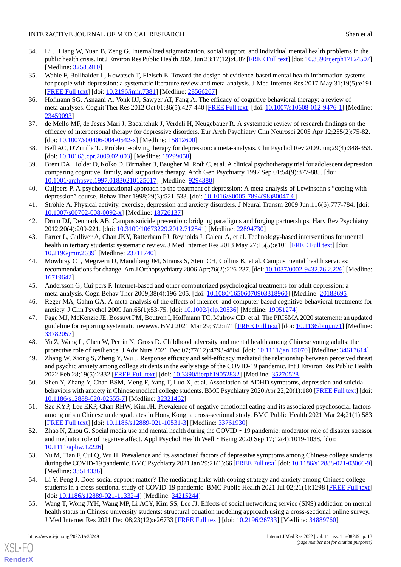- <span id="page-12-0"></span>34. Li J, Liang W, Yuan B, Zeng G. Internalized stigmatization, social support, and individual mental health problems in the public health crisis. Int J Environ Res Public Health 2020 Jun 23;17(12):4507 [[FREE Full text\]](https://www.mdpi.com/resolver?pii=ijerph17124507) [doi: [10.3390/ijerph17124507\]](http://dx.doi.org/10.3390/ijerph17124507) [Medline: [32585910](http://www.ncbi.nlm.nih.gov/entrez/query.fcgi?cmd=Retrieve&db=PubMed&list_uids=32585910&dopt=Abstract)]
- <span id="page-12-1"></span>35. Wahle F, Bollhalder L, Kowatsch T, Fleisch E. Toward the design of evidence-based mental health information systems for people with depression: a systematic literature review and meta-analysis. J Med Internet Res 2017 May 31;19(5):e191 [[FREE Full text](https://www.jmir.org/2017/5/e191/)] [doi: [10.2196/jmir.7381](http://dx.doi.org/10.2196/jmir.7381)] [Medline: [28566267](http://www.ncbi.nlm.nih.gov/entrez/query.fcgi?cmd=Retrieve&db=PubMed&list_uids=28566267&dopt=Abstract)]
- <span id="page-12-2"></span>36. Hofmann SG, Asnaani A, Vonk IJJ, Sawyer AT, Fang A. The efficacy of cognitive behavioral therapy: a review of meta-analyses. Cognit Ther Res 2012 Oct 01;36(5):427-440 [[FREE Full text\]](http://europepmc.org/abstract/MED/23459093) [doi: [10.1007/s10608-012-9476-1](http://dx.doi.org/10.1007/s10608-012-9476-1)] [Medline: [23459093](http://www.ncbi.nlm.nih.gov/entrez/query.fcgi?cmd=Retrieve&db=PubMed&list_uids=23459093&dopt=Abstract)]
- <span id="page-12-4"></span><span id="page-12-3"></span>37. de Mello MF, de Jesus Mari J, Bacaltchuk J, Verdeli H, Neugebauer R. A systematic review of research findings on the efficacy of interpersonal therapy for depressive disorders. Eur Arch Psychiatry Clin Neurosci 2005 Apr 12;255(2):75-82. [doi: <u>[10.1007/s00406-004-0542-x](http://dx.doi.org/10.1007/s00406-004-0542-x)</u>] [Medline: [15812600\]](http://www.ncbi.nlm.nih.gov/entrez/query.fcgi?cmd=Retrieve&db=PubMed&list_uids=15812600&dopt=Abstract)
- <span id="page-12-5"></span>38. Bell AC, D'Zurilla TJ. Problem-solving therapy for depression: a meta-analysis. Clin Psychol Rev 2009 Jun;29(4):348-353. [doi: <u>[10.1016/j.cpr.2009.02.003](http://dx.doi.org/10.1016/j.cpr.2009.02.003)</u>] [Medline: [19299058\]](http://www.ncbi.nlm.nih.gov/entrez/query.fcgi?cmd=Retrieve&db=PubMed&list_uids=19299058&dopt=Abstract)
- <span id="page-12-6"></span>39. Brent DA, Holder D, Kolko D, Birmaher B, Baugher M, Roth C, et al. A clinical psychotherapy trial for adolescent depression comparing cognitive, family, and supportive therapy. Arch Gen Psychiatry 1997 Sep 01;54(9):877-885. [doi: [10.1001/archpsyc.1997.01830210125017](http://dx.doi.org/10.1001/archpsyc.1997.01830210125017)] [Medline: [9294380](http://www.ncbi.nlm.nih.gov/entrez/query.fcgi?cmd=Retrieve&db=PubMed&list_uids=9294380&dopt=Abstract)]
- <span id="page-12-7"></span>40. Cuijpers P. A psychoeducational approach to the treatment of depression: A meta-analysis of Lewinsohn's "coping with depression" course. Behav Ther 1998;29(3):521-533. [doi: [10.1016/S0005-7894\(98\)80047-6\]](http://dx.doi.org/10.1016/S0005-7894(98)80047-6)
- <span id="page-12-8"></span>41. Ströhle A. Physical activity, exercise, depression and anxiety disorders. J Neural Transm 2009 Jun;116(6):777-784. [doi: [10.1007/s00702-008-0092-x\]](http://dx.doi.org/10.1007/s00702-008-0092-x) [Medline: [18726137](http://www.ncbi.nlm.nih.gov/entrez/query.fcgi?cmd=Retrieve&db=PubMed&list_uids=18726137&dopt=Abstract)]
- <span id="page-12-9"></span>42. Drum DJ, Denmark AB. Campus suicide prevention: bridging paradigms and forging partnerships. Harv Rev Psychiatry 2012;20(4):209-221. [doi: [10.3109/10673229.2012.712841\]](http://dx.doi.org/10.3109/10673229.2012.712841) [Medline: [22894730\]](http://www.ncbi.nlm.nih.gov/entrez/query.fcgi?cmd=Retrieve&db=PubMed&list_uids=22894730&dopt=Abstract)
- <span id="page-12-10"></span>43. Farrer L, Gulliver A, Chan JKY, Batterham PJ, Reynolds J, Calear A, et al. Technology-based interventions for mental health in tertiary students: systematic review. J Med Internet Res 2013 May 27;15(5):e101 [\[FREE Full text\]](https://www.jmir.org/2013/5/e101/) [doi: [10.2196/jmir.2639](http://dx.doi.org/10.2196/jmir.2639)] [Medline: [23711740](http://www.ncbi.nlm.nih.gov/entrez/query.fcgi?cmd=Retrieve&db=PubMed&list_uids=23711740&dopt=Abstract)]
- <span id="page-12-12"></span><span id="page-12-11"></span>44. Mowbray CT, Megivern D, Mandiberg JM, Strauss S, Stein CH, Collins K, et al. Campus mental health services: recommendations for change. Am J Orthopsychiatry 2006 Apr;76(2):226-237. [doi: [10.1037/0002-9432.76.2.226\]](http://dx.doi.org/10.1037/0002-9432.76.2.226) [Medline: [16719642](http://www.ncbi.nlm.nih.gov/entrez/query.fcgi?cmd=Retrieve&db=PubMed&list_uids=16719642&dopt=Abstract)]
- <span id="page-12-13"></span>45. Andersson G, Cuijpers P. Internet-based and other computerized psychological treatments for adult depression: a meta-analysis. Cogn Behav Ther 2009;38(4):196-205. [doi: [10.1080/16506070903318960](http://dx.doi.org/10.1080/16506070903318960)] [Medline: [20183695\]](http://www.ncbi.nlm.nih.gov/entrez/query.fcgi?cmd=Retrieve&db=PubMed&list_uids=20183695&dopt=Abstract)
- <span id="page-12-14"></span>46. Reger MA, Gahm GA. A meta-analysis of the effects of internet- and computer-based cognitive-behavioral treatments for anxiety. J Clin Psychol 2009 Jan;65(1):53-75. [doi: [10.1002/jclp.20536](http://dx.doi.org/10.1002/jclp.20536)] [Medline: [19051274\]](http://www.ncbi.nlm.nih.gov/entrez/query.fcgi?cmd=Retrieve&db=PubMed&list_uids=19051274&dopt=Abstract)
- <span id="page-12-15"></span>47. Page MJ, McKenzie JE, Bossuyt PM, Boutron I, Hoffmann TC, Mulrow CD, et al. The PRISMA 2020 statement: an updated guideline for reporting systematic reviews. BMJ 2021 Mar 29;372:n71 [[FREE Full text\]](http://www.bmj.com/lookup/pmidlookup?view=long&pmid=33782057) [doi: [10.1136/bmj.n71\]](http://dx.doi.org/10.1136/bmj.n71) [Medline: [33782057](http://www.ncbi.nlm.nih.gov/entrez/query.fcgi?cmd=Retrieve&db=PubMed&list_uids=33782057&dopt=Abstract)]
- <span id="page-12-18"></span>48. Yu Z, Wang L, Chen W, Perrin N, Gross D. Childhood adversity and mental health among Chinese young adults: the protective role of resilience. J Adv Nurs 2021 Dec 07;77(12):4793-4804. [doi: [10.1111/jan.15070\]](http://dx.doi.org/10.1111/jan.15070) [Medline: [34617614\]](http://www.ncbi.nlm.nih.gov/entrez/query.fcgi?cmd=Retrieve&db=PubMed&list_uids=34617614&dopt=Abstract)
- <span id="page-12-19"></span>49. Zhang W, Xiong S, Zheng Y, Wu J. Response efficacy and self-efficacy mediated the relationship between perceived threat and psychic anxiety among college students in the early stage of the COVID-19 pandemic. Int J Environ Res Public Health 2022 Feb 28;19(5):2832 [[FREE Full text\]](https://www.mdpi.com/resolver?pii=ijerph19052832) [doi: [10.3390/ijerph19052832\]](http://dx.doi.org/10.3390/ijerph19052832) [Medline: [35270528\]](http://www.ncbi.nlm.nih.gov/entrez/query.fcgi?cmd=Retrieve&db=PubMed&list_uids=35270528&dopt=Abstract)
- <span id="page-12-16"></span>50. Shen Y, Zhang Y, Chan BSM, Meng F, Yang T, Luo X, et al. Association of ADHD symptoms, depression and suicidal behaviors with anxiety in Chinese medical college students. BMC Psychiatry 2020 Apr 22;20(1):180 [\[FREE Full text\]](https://bmcpsychiatry.biomedcentral.com/articles/10.1186/s12888-020-02555-7) [doi: [10.1186/s12888-020-02555-7\]](http://dx.doi.org/10.1186/s12888-020-02555-7) [Medline: [32321462\]](http://www.ncbi.nlm.nih.gov/entrez/query.fcgi?cmd=Retrieve&db=PubMed&list_uids=32321462&dopt=Abstract)
- <span id="page-12-20"></span>51. Sze KYP, Lee EKP, Chan RHW, Kim JH. Prevalence of negative emotional eating and its associated psychosocial factors among urban Chinese undergraduates in Hong Kong: a cross-sectional study. BMC Public Health 2021 Mar 24;21(1):583 [[FREE Full text](https://bmcpublichealth.biomedcentral.com/articles/10.1186/s12889-021-10531-3)] [doi: [10.1186/s12889-021-10531-3\]](http://dx.doi.org/10.1186/s12889-021-10531-3) [Medline: [33761930](http://www.ncbi.nlm.nih.gov/entrez/query.fcgi?cmd=Retrieve&db=PubMed&list_uids=33761930&dopt=Abstract)]
- <span id="page-12-17"></span>52. Zhao N, Zhou G. Social media use and mental health during the COVID - 19 pandemic: moderator role of disaster stressor and mediator role of negative affect. Appl Psychol Health Well - Being 2020 Sep 17;12(4):1019-1038. [doi: [10.1111/aphw.12226](http://dx.doi.org/10.1111/aphw.12226)]
- <span id="page-12-21"></span>53. Yu M, Tian F, Cui Q, Wu H. Prevalence and its associated factors of depressive symptoms among Chinese college students during the COVID-19 pandemic. BMC Psychiatry 2021 Jan 29;21(1):66 [[FREE Full text\]](https://bmcpsychiatry.biomedcentral.com/articles/10.1186/s12888-021-03066-9) [doi: [10.1186/s12888-021-03066-9\]](http://dx.doi.org/10.1186/s12888-021-03066-9) [Medline: [33514336](http://www.ncbi.nlm.nih.gov/entrez/query.fcgi?cmd=Retrieve&db=PubMed&list_uids=33514336&dopt=Abstract)]
- 54. Li Y, Peng J. Does social support matter? The mediating links with coping strategy and anxiety among Chinese college students in a cross-sectional study of COVID-19 pandemic. BMC Public Health 2021 Jul 02;21(1):1298 [\[FREE Full text\]](https://bmcpublichealth.biomedcentral.com/articles/10.1186/s12889-021-11332-4) [doi: [10.1186/s12889-021-11332-4](http://dx.doi.org/10.1186/s12889-021-11332-4)] [Medline: [34215244\]](http://www.ncbi.nlm.nih.gov/entrez/query.fcgi?cmd=Retrieve&db=PubMed&list_uids=34215244&dopt=Abstract)
- 55. Wang T, Wong JYH, Wang MP, Li ACY, Kim SS, Lee JJ. Effects of social networking service (SNS) addiction on mental health status in Chinese university students: structural equation modeling approach using a cross-sectional online survey. J Med Internet Res 2021 Dec 08;23(12):e26733 [\[FREE Full text\]](https://www.jmir.org/2021/12/e26733/) [doi: [10.2196/26733](http://dx.doi.org/10.2196/26733)] [Medline: [34889760](http://www.ncbi.nlm.nih.gov/entrez/query.fcgi?cmd=Retrieve&db=PubMed&list_uids=34889760&dopt=Abstract)]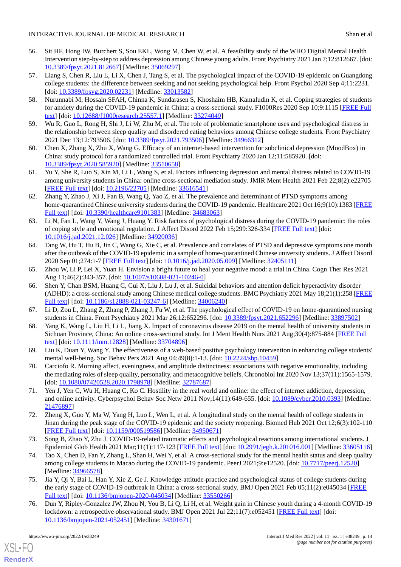- <span id="page-13-15"></span>56. Sit HF, Hong IW, Burchert S, Sou EKL, Wong M, Chen W, et al. A feasibility study of the WHO Digital Mental Health Intervention step-by-step to address depression among Chinese young adults. Front Psychiatry 2021 Jan 7;12:812667. [doi: [10.3389/fpsyt.2021.812667\]](http://dx.doi.org/10.3389/fpsyt.2021.812667) [Medline: [35069297\]](http://www.ncbi.nlm.nih.gov/entrez/query.fcgi?cmd=Retrieve&db=PubMed&list_uids=35069297&dopt=Abstract)
- <span id="page-13-8"></span>57. Liang S, Chen R, Liu L, Li X, Chen J, Tang S, et al. The psychological impact of the COVID-19 epidemic on Guangdong college students: the difference between seeking and not seeking psychological help. Front Psychol 2020 Sep 4;11:2231. [doi: [10.3389/fpsyg.2020.02231](http://dx.doi.org/10.3389/fpsyg.2020.02231)] [Medline: [33013582](http://www.ncbi.nlm.nih.gov/entrez/query.fcgi?cmd=Retrieve&db=PubMed&list_uids=33013582&dopt=Abstract)]
- <span id="page-13-0"></span>58. Nurunnabi M, Hossain SFAH, Chinna K, Sundarasen S, Khoshaim HB, Kamaludin K, et al. Coping strategies of students for anxiety during the COVID-19 pandemic in China: a cross-sectional study. F1000Res 2020 Sep 10;9:1115 [\[FREE Full](https://f1000research.com/articles/10.12688/f1000research.25557.1/doi) [text](https://f1000research.com/articles/10.12688/f1000research.25557.1/doi)] [doi: [10.12688/f1000research.25557.1](http://dx.doi.org/10.12688/f1000research.25557.1)] [Medline: [33274049](http://www.ncbi.nlm.nih.gov/entrez/query.fcgi?cmd=Retrieve&db=PubMed&list_uids=33274049&dopt=Abstract)]
- <span id="page-13-16"></span><span id="page-13-9"></span>59. Wu R, Guo L, Rong H, Shi J, Li W, Zhu M, et al. The role of problematic smartphone uses and psychological distress in the relationship between sleep quality and disordered eating behaviors among Chinese college students. Front Psychiatry 2021 Dec 13;12:793506. [doi: [10.3389/fpsyt.2021.793506\]](http://dx.doi.org/10.3389/fpsyt.2021.793506) [Medline: [34966312\]](http://www.ncbi.nlm.nih.gov/entrez/query.fcgi?cmd=Retrieve&db=PubMed&list_uids=34966312&dopt=Abstract)
- <span id="page-13-1"></span>60. Chen X, Zhang X, Zhu X, Wang G. Efficacy of an internet-based intervention for subclinical depression (MoodBox) in China: study protocol for a randomized controlled trial. Front Psychiatry 2020 Jan 12;11:585920. [doi: [10.3389/fpsyt.2020.585920\]](http://dx.doi.org/10.3389/fpsyt.2020.585920) [Medline: [33510658\]](http://www.ncbi.nlm.nih.gov/entrez/query.fcgi?cmd=Retrieve&db=PubMed&list_uids=33510658&dopt=Abstract)
- <span id="page-13-6"></span>61. Yu Y, She R, Luo S, Xin M, Li L, Wang S, et al. Factors influencing depression and mental distress related to COVID-19 among university students in China: online cross-sectional mediation study. JMIR Ment Health 2021 Feb 22;8(2):e22705 [[FREE Full text](https://mental.jmir.org/2021/2/e22705/)] [doi: [10.2196/22705\]](http://dx.doi.org/10.2196/22705) [Medline: [33616541\]](http://www.ncbi.nlm.nih.gov/entrez/query.fcgi?cmd=Retrieve&db=PubMed&list_uids=33616541&dopt=Abstract)
- <span id="page-13-12"></span>62. Zhang Y, Zhao J, Xi J, Fan B, Wang Q, Yao Z, et al. The prevalence and determinant of PTSD symptoms among home-quarantined Chinese university students during the COVID-19 pandemic. Healthcare 2021 Oct 16;9(10):1383 [\[FREE](https://www.mdpi.com/resolver?pii=healthcare9101383) [Full text\]](https://www.mdpi.com/resolver?pii=healthcare9101383) [doi: [10.3390/healthcare9101383\]](http://dx.doi.org/10.3390/healthcare9101383) [Medline: [34683063](http://www.ncbi.nlm.nih.gov/entrez/query.fcgi?cmd=Retrieve&db=PubMed&list_uids=34683063&dopt=Abstract)]
- <span id="page-13-2"></span>63. Li N, Fan L, Wang Y, Wang J, Huang Y. Risk factors of psychological distress during the COVID-19 pandemic: the roles of coping style and emotional regulation. J Affect Disord 2022 Feb 15;299:326-334 [[FREE Full text](http://europepmc.org/abstract/MED/34920036)] [doi: [10.1016/j.jad.2021.12.026\]](http://dx.doi.org/10.1016/j.jad.2021.12.026) [Medline: [34920036\]](http://www.ncbi.nlm.nih.gov/entrez/query.fcgi?cmd=Retrieve&db=PubMed&list_uids=34920036&dopt=Abstract)
- <span id="page-13-10"></span>64. Tang W, Hu T, Hu B, Jin C, Wang G, Xie C, et al. Prevalence and correlates of PTSD and depressive symptoms one month after the outbreak of the COVID-19 epidemic in a sample of home-quarantined Chinese university students. J Affect Disord 2020 Sep 01;274:1-7 [\[FREE Full text\]](http://europepmc.org/abstract/MED/32405111) [doi: [10.1016/j.jad.2020.05.009](http://dx.doi.org/10.1016/j.jad.2020.05.009)] [Medline: [32405111\]](http://www.ncbi.nlm.nih.gov/entrez/query.fcgi?cmd=Retrieve&db=PubMed&list_uids=32405111&dopt=Abstract)
- <span id="page-13-13"></span>65. Zhou W, Li P, Lei X, Yuan H. Envision a bright future to heal your negative mood: a trial in China. Cogn Ther Res 2021 Aug 11;46(2):343-357. [doi: [10.1007/s10608-021-10246-0](http://dx.doi.org/10.1007/s10608-021-10246-0)]
- <span id="page-13-7"></span><span id="page-13-3"></span>66. Shen Y, Chan BSM, Huang C, Cui X, Liu J, Lu J, et al. Suicidal behaviors and attention deficit hyperactivity disorder (ADHD): a cross-sectional study among Chinese medical college students. BMC Psychiatry 2021 May 18;21(1):258 [\[FREE](https://bmcpsychiatry.biomedcentral.com/articles/10.1186/s12888-021-03247-6) [Full text\]](https://bmcpsychiatry.biomedcentral.com/articles/10.1186/s12888-021-03247-6) [doi: [10.1186/s12888-021-03247-6](http://dx.doi.org/10.1186/s12888-021-03247-6)] [Medline: [34006240](http://www.ncbi.nlm.nih.gov/entrez/query.fcgi?cmd=Retrieve&db=PubMed&list_uids=34006240&dopt=Abstract)]
- <span id="page-13-4"></span>67. Li D, Zou L, Zhang Z, Zhang P, Zhang J, Fu W, et al. The psychological effect of COVID-19 on home-quarantined nursing students in China. Front Psychiatry 2021 Mar 26;12:652296. [doi: [10.3389/fpsyt.2021.652296\]](http://dx.doi.org/10.3389/fpsyt.2021.652296) [Medline: [33897502\]](http://www.ncbi.nlm.nih.gov/entrez/query.fcgi?cmd=Retrieve&db=PubMed&list_uids=33897502&dopt=Abstract)
- <span id="page-13-14"></span>68. Yang K, Wang L, Liu H, Li L, Jiang X. Impact of coronavirus disease 2019 on the mental health of university students in Sichuan Province, China: An online cross-sectional study. Int J Ment Health Nurs 2021 Aug;30(4):875-884 [[FREE Full](http://europepmc.org/abstract/MED/33704896) [text](http://europepmc.org/abstract/MED/33704896)] [doi: [10.1111/inm.12828\]](http://dx.doi.org/10.1111/inm.12828) [Medline: [33704896\]](http://www.ncbi.nlm.nih.gov/entrez/query.fcgi?cmd=Retrieve&db=PubMed&list_uids=33704896&dopt=Abstract)
- <span id="page-13-17"></span>69. Liu K, Duan Y, Wang Y. The effectiveness of a web-based positive psychology intervention in enhancing college students' mental well-being. Soc Behav Pers 2021 Aug 04;49(8):1-13. [doi: [10.2224/sbp.10459\]](http://dx.doi.org/10.2224/sbp.10459)
- <span id="page-13-5"></span>70. Carciofo R. Morning affect, eveningness, and amplitude distinctness: associations with negative emotionality, including the mediating roles of sleep quality, personality, and metacognitive beliefs. Chronobiol Int 2020 Nov 13;37(11):1565-1579. [doi: [10.1080/07420528.2020.1798978](http://dx.doi.org/10.1080/07420528.2020.1798978)] [Medline: [32787687\]](http://www.ncbi.nlm.nih.gov/entrez/query.fcgi?cmd=Retrieve&db=PubMed&list_uids=32787687&dopt=Abstract)
- <span id="page-13-18"></span>71. Yen J, Yen C, Wu H, Huang C, Ko C. Hostility in the real world and online: the effect of internet addiction, depression, and online activity. Cyberpsychol Behav Soc Netw 2011 Nov;14(11):649-655. [doi: [10.1089/cyber.2010.0393\]](http://dx.doi.org/10.1089/cyber.2010.0393) [Medline: [21476897](http://www.ncbi.nlm.nih.gov/entrez/query.fcgi?cmd=Retrieve&db=PubMed&list_uids=21476897&dopt=Abstract)]
- <span id="page-13-19"></span>72. Zheng X, Guo Y, Ma W, Yang H, Luo L, Wen L, et al. A longitudinal study on the mental health of college students in Jinan during the peak stage of the COVID-19 epidemic and the society reopening. Biomed Hub 2021 Oct 12;6(3):102-110 [[FREE Full text](https://www.karger.com?DOI=10.1159/000519586)] [doi: [10.1159/000519586\]](http://dx.doi.org/10.1159/000519586) [Medline: [34950671\]](http://www.ncbi.nlm.nih.gov/entrez/query.fcgi?cmd=Retrieve&db=PubMed&list_uids=34950671&dopt=Abstract)
- <span id="page-13-11"></span>73. Song B, Zhao Y, Zhu J. COVID-19-related traumatic effects and psychological reactions among international students. J Epidemiol Glob Health 2021 Mar;11(1):117-123 [\[FREE Full text\]](http://europepmc.org/abstract/MED/33605116) [doi: [10.2991/jegh.k.201016.001](http://dx.doi.org/10.2991/jegh.k.201016.001)] [Medline: [33605116](http://www.ncbi.nlm.nih.gov/entrez/query.fcgi?cmd=Retrieve&db=PubMed&list_uids=33605116&dopt=Abstract)]
- <span id="page-13-20"></span>74. Tao X, Chen D, Fan Y, Zhang L, Shan H, Wei Y, et al. A cross-sectional study for the mental health status and sleep quality among college students in Macao during the COVID-19 pandemic. PeerJ 2021;9:e12520. [doi: [10.7717/peerj.12520](http://dx.doi.org/10.7717/peerj.12520)] [Medline: [34966578](http://www.ncbi.nlm.nih.gov/entrez/query.fcgi?cmd=Retrieve&db=PubMed&list_uids=34966578&dopt=Abstract)]
- 75. Jia Y, Qi Y, Bai L, Han Y, Xie Z, Ge J. Knowledge-attitude-practice and psychological status of college students during the early stage of COVID-19 outbreak in China: a cross-sectional study. BMJ Open 2021 Feb 05;11(2):e045034 [\[FREE](https://bmjopen.bmj.com/lookup/pmidlookup?view=long&pmid=33550266) [Full text\]](https://bmjopen.bmj.com/lookup/pmidlookup?view=long&pmid=33550266) [doi: [10.1136/bmjopen-2020-045034](http://dx.doi.org/10.1136/bmjopen-2020-045034)] [Medline: [33550266\]](http://www.ncbi.nlm.nih.gov/entrez/query.fcgi?cmd=Retrieve&db=PubMed&list_uids=33550266&dopt=Abstract)
- 76. Dun Y, Ripley-Gonzalez JW, Zhou N, You B, Li Q, Li H, et al. Weight gain in Chinese youth during a 4-month COVID-19 lockdown: a retrospective observational study. BMJ Open 2021 Jul 22;11(7):e052451 [\[FREE Full text](https://bmjopen.bmj.com/lookup/pmidlookup?view=long&pmid=34301671)] [doi: [10.1136/bmjopen-2021-052451\]](http://dx.doi.org/10.1136/bmjopen-2021-052451) [Medline: [34301671](http://www.ncbi.nlm.nih.gov/entrez/query.fcgi?cmd=Retrieve&db=PubMed&list_uids=34301671&dopt=Abstract)]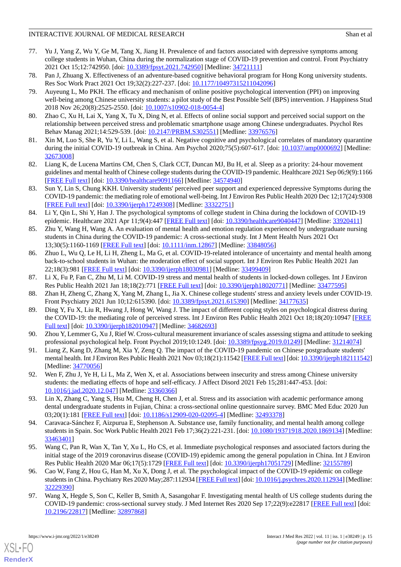- <span id="page-14-2"></span>77. Yu J, Yang Z, Wu Y, Ge M, Tang X, Jiang H. Prevalence of and factors associated with depressive symptoms among college students in Wuhan, China during the normalization stage of COVID-19 prevention and control. Front Psychiatry 2021 Oct 15;12:742950. [doi: [10.3389/fpsyt.2021.742950](http://dx.doi.org/10.3389/fpsyt.2021.742950)] [Medline: [34721111\]](http://www.ncbi.nlm.nih.gov/entrez/query.fcgi?cmd=Retrieve&db=PubMed&list_uids=34721111&dopt=Abstract)
- <span id="page-14-16"></span><span id="page-14-13"></span>78. Pan J, Zhuang X. Effectiveness of an adventure-based cognitive behavioral program for Hong Kong university students. Res Soc Work Pract 2021 Oct 19;32(2):227-237. [doi: [10.1177/10497315211042096\]](http://dx.doi.org/10.1177/10497315211042096)
- 79. Auyeung L, Mo PKH. The efficacy and mechanism of online positive psychological intervention (PPI) on improving well-being among Chinese university students: a pilot study of the Best Possible Self (BPS) intervention. J Happiness Stud 2018 Nov 26;20(8):2525-2550. [doi: [10.1007/s10902-018-0054-4\]](http://dx.doi.org/10.1007/s10902-018-0054-4)
- <span id="page-14-14"></span><span id="page-14-3"></span>80. Zhao C, Xu H, Lai X, Yang X, Tu X, Ding N, et al. Effects of online social support and perceived social support on the relationship between perceived stress and problematic smartphone usage among Chinese undergraduates. Psychol Res Behav Manag 2021;14:529-539. [doi: [10.2147/PRBM.S302551](http://dx.doi.org/10.2147/PRBM.S302551)] [Medline: [33976576\]](http://www.ncbi.nlm.nih.gov/entrez/query.fcgi?cmd=Retrieve&db=PubMed&list_uids=33976576&dopt=Abstract)
- <span id="page-14-15"></span>81. Xin M, Luo S, She R, Yu Y, Li L, Wang S, et al. Negative cognitive and psychological correlates of mandatory quarantine during the initial COVID-19 outbreak in China. Am Psychol 2020;75(5):607-617. [doi: [10.1037/amp0000692\]](http://dx.doi.org/10.1037/amp0000692) [Medline: [32673008](http://www.ncbi.nlm.nih.gov/entrez/query.fcgi?cmd=Retrieve&db=PubMed&list_uids=32673008&dopt=Abstract)]
- <span id="page-14-10"></span>82. Liang K, de Lucena Martins CM, Chen S, Clark CCT, Duncan MJ, Bu H, et al. Sleep as a priority: 24-hour movement guidelines and mental health of Chinese college students during the COVID-19 pandemic. Healthcare 2021 Sep 06;9(9):1166 [[FREE Full text](https://www.mdpi.com/resolver?pii=healthcare9091166)] [doi: [10.3390/healthcare9091166\]](http://dx.doi.org/10.3390/healthcare9091166) [Medline: [34574940\]](http://www.ncbi.nlm.nih.gov/entrez/query.fcgi?cmd=Retrieve&db=PubMed&list_uids=34574940&dopt=Abstract)
- <span id="page-14-8"></span>83. Sun Y, Lin S, Chung KKH. University students' perceived peer support and experienced depressive Symptoms during the COVID-19 pandemic: the mediating role of emotional well-being. Int J Environ Res Public Health 2020 Dec 12;17(24):9308 [[FREE Full text](https://www.mdpi.com/resolver?pii=ijerph17249308)] [doi: [10.3390/ijerph17249308](http://dx.doi.org/10.3390/ijerph17249308)] [Medline: [33322751\]](http://www.ncbi.nlm.nih.gov/entrez/query.fcgi?cmd=Retrieve&db=PubMed&list_uids=33322751&dopt=Abstract)
- <span id="page-14-11"></span>84. Li Y, Qin L, Shi Y, Han J. The psychological symptoms of college student in China during the lockdown of COVID-19 epidemic. Healthcare 2021 Apr 11;9(4):447 [[FREE Full text](https://www.mdpi.com/resolver?pii=healthcare9040447)] [doi: [10.3390/healthcare9040447\]](http://dx.doi.org/10.3390/healthcare9040447) [Medline: [33920411](http://www.ncbi.nlm.nih.gov/entrez/query.fcgi?cmd=Retrieve&db=PubMed&list_uids=33920411&dopt=Abstract)]
- <span id="page-14-9"></span>85. Zhu Y, Wang H, Wang A. An evaluation of mental health and emotion regulation experienced by undergraduate nursing students in China during the COVID-19 pandemic: A cross-sectional study. Int J Ment Health Nurs 2021 Oct 13;30(5):1160-1169 [[FREE Full text](http://europepmc.org/abstract/MED/33848056)] [doi: [10.1111/inm.12867\]](http://dx.doi.org/10.1111/inm.12867) [Medline: [33848056\]](http://www.ncbi.nlm.nih.gov/entrez/query.fcgi?cmd=Retrieve&db=PubMed&list_uids=33848056&dopt=Abstract)
- <span id="page-14-7"></span><span id="page-14-1"></span>86. Zhuo L, Wu Q, Le H, Li H, Zheng L, Ma G, et al. COVID-19-related intolerance of uncertainty and mental health among back-to-school students in Wuhan: the moderation effect of social support. Int J Environ Res Public Health 2021 Jan 22;18(3):981 [[FREE Full text\]](https://www.mdpi.com/resolver?pii=ijerph18030981) [doi: [10.3390/ijerph18030981\]](http://dx.doi.org/10.3390/ijerph18030981) [Medline: [33499409\]](http://www.ncbi.nlm.nih.gov/entrez/query.fcgi?cmd=Retrieve&db=PubMed&list_uids=33499409&dopt=Abstract)
- <span id="page-14-4"></span>87. Li X, Fu P, Fan C, Zhu M, Li M. COVID-19 stress and mental health of students in locked-down colleges. Int J Environ Res Public Health 2021 Jan 18;18(2):771 [[FREE Full text](https://www.mdpi.com/resolver?pii=ijerph18020771)] [doi: [10.3390/ijerph18020771\]](http://dx.doi.org/10.3390/ijerph18020771) [Medline: [33477595\]](http://www.ncbi.nlm.nih.gov/entrez/query.fcgi?cmd=Retrieve&db=PubMed&list_uids=33477595&dopt=Abstract)
- <span id="page-14-17"></span>88. Zhan H, Zheng C, Zhang X, Yang M, Zhang L, Jia X. Chinese college students' stress and anxiety levels under COVID-19. Front Psychiatry 2021 Jun 10;12:615390. [doi: [10.3389/fpsyt.2021.615390](http://dx.doi.org/10.3389/fpsyt.2021.615390)] [Medline: [34177635](http://www.ncbi.nlm.nih.gov/entrez/query.fcgi?cmd=Retrieve&db=PubMed&list_uids=34177635&dopt=Abstract)]
- <span id="page-14-5"></span>89. Ding Y, Fu X, Liu R, Hwang J, Hong W, Wang J. The impact of different coping styles on psychological distress during the COVID-19: the mediating role of perceived stress. Int J Environ Res Public Health 2021 Oct 18;18(20):10947 [[FREE](https://www.mdpi.com/resolver?pii=ijerph182010947) [Full text\]](https://www.mdpi.com/resolver?pii=ijerph182010947) [doi: [10.3390/ijerph182010947\]](http://dx.doi.org/10.3390/ijerph182010947) [Medline: [34682693\]](http://www.ncbi.nlm.nih.gov/entrez/query.fcgi?cmd=Retrieve&db=PubMed&list_uids=34682693&dopt=Abstract)
- <span id="page-14-6"></span>90. Zhou Y, Lemmer G, Xu J, Rief W. Cross-cultural measurement invariance of scales assessing stigma and attitude to seeking professional psychological help. Front Psychol 2019;10:1249. [doi: [10.3389/fpsyg.2019.01249\]](http://dx.doi.org/10.3389/fpsyg.2019.01249) [Medline: [31214074\]](http://www.ncbi.nlm.nih.gov/entrez/query.fcgi?cmd=Retrieve&db=PubMed&list_uids=31214074&dopt=Abstract)
- <span id="page-14-0"></span>91. Liang Z, Kang D, Zhang M, Xia Y, Zeng Q. The impact of the COVID-19 pandemic on Chinese postgraduate students' mental health. Int J Environ Res Public Health 2021 Nov 03;18(21):11542 [[FREE Full text\]](https://www.mdpi.com/resolver?pii=ijerph182111542) [doi: [10.3390/ijerph182111542\]](http://dx.doi.org/10.3390/ijerph182111542) [Medline: [34770056](http://www.ncbi.nlm.nih.gov/entrez/query.fcgi?cmd=Retrieve&db=PubMed&list_uids=34770056&dopt=Abstract)]
- <span id="page-14-12"></span>92. Wen F, Zhu J, Ye H, Li L, Ma Z, Wen X, et al. Associations between insecurity and stress among Chinese university students: the mediating effects of hope and self-efficacy. J Affect Disord 2021 Feb 15;281:447-453. [doi: [10.1016/j.jad.2020.12.047\]](http://dx.doi.org/10.1016/j.jad.2020.12.047) [Medline: [33360366\]](http://www.ncbi.nlm.nih.gov/entrez/query.fcgi?cmd=Retrieve&db=PubMed&list_uids=33360366&dopt=Abstract)
- <span id="page-14-18"></span>93. Lin X, Zhang C, Yang S, Hsu M, Cheng H, Chen J, et al. Stress and its association with academic performance among dental undergraduate students in Fujian, China: a cross-sectional online questionnaire survey. BMC Med Educ 2020 Jun 03;20(1):181 [[FREE Full text\]](https://bmcmededuc.biomedcentral.com/articles/10.1186/s12909-020-02095-4) [doi: [10.1186/s12909-020-02095-4](http://dx.doi.org/10.1186/s12909-020-02095-4)] [Medline: [32493378](http://www.ncbi.nlm.nih.gov/entrez/query.fcgi?cmd=Retrieve&db=PubMed&list_uids=32493378&dopt=Abstract)]
- 94. Caravaca-Sánchez F, Aizpurua E, Stephenson A. Substance use, family functionality, and mental health among college students in Spain. Soc Work Public Health 2021 Feb 17;36(2):221-231. [doi: [10.1080/19371918.2020.1869134\]](http://dx.doi.org/10.1080/19371918.2020.1869134) [Medline: [33463401](http://www.ncbi.nlm.nih.gov/entrez/query.fcgi?cmd=Retrieve&db=PubMed&list_uids=33463401&dopt=Abstract)]
- <span id="page-14-19"></span>95. Wang C, Pan R, Wan X, Tan Y, Xu L, Ho CS, et al. Immediate psychological responses and associated factors during the initial stage of the 2019 coronavirus disease (COVID-19) epidemic among the general population in China. Int J Environ Res Public Health 2020 Mar 06;17(5):1729 [[FREE Full text](https://www.mdpi.com/resolver?pii=ijerph17051729)] [doi: [10.3390/ijerph17051729](http://dx.doi.org/10.3390/ijerph17051729)] [Medline: [32155789\]](http://www.ncbi.nlm.nih.gov/entrez/query.fcgi?cmd=Retrieve&db=PubMed&list_uids=32155789&dopt=Abstract)
- 96. Cao W, Fang Z, Hou G, Han M, Xu X, Dong J, et al. The psychological impact of the COVID-19 epidemic on college students in China. Psychiatry Res 2020 May;287:112934 [\[FREE Full text](http://europepmc.org/abstract/MED/32229390)] [doi: [10.1016/j.psychres.2020.112934](http://dx.doi.org/10.1016/j.psychres.2020.112934)] [Medline: [32229390](http://www.ncbi.nlm.nih.gov/entrez/query.fcgi?cmd=Retrieve&db=PubMed&list_uids=32229390&dopt=Abstract)]
- 97. Wang X, Hegde S, Son C, Keller B, Smith A, Sasangohar F. Investigating mental health of US college students during the COVID-19 pandemic: cross-sectional survey study. J Med Internet Res 2020 Sep 17;22(9):e22817 [\[FREE Full text\]](https://www.jmir.org/2020/9/e22817/) [doi: [10.2196/22817\]](http://dx.doi.org/10.2196/22817) [Medline: [32897868\]](http://www.ncbi.nlm.nih.gov/entrez/query.fcgi?cmd=Retrieve&db=PubMed&list_uids=32897868&dopt=Abstract)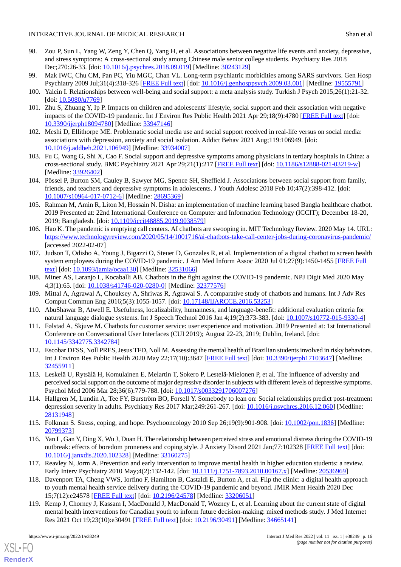- <span id="page-15-0"></span>98. Zou P, Sun L, Yang W, Zeng Y, Chen Q, Yang H, et al. Associations between negative life events and anxiety, depressive, and stress symptoms: A cross-sectional study among Chinese male senior college students. Psychiatry Res 2018 Dec;270:26-33. [doi: [10.1016/j.psychres.2018.09.019\]](http://dx.doi.org/10.1016/j.psychres.2018.09.019) [Medline: [30243129\]](http://www.ncbi.nlm.nih.gov/entrez/query.fcgi?cmd=Retrieve&db=PubMed&list_uids=30243129&dopt=Abstract)
- <span id="page-15-2"></span><span id="page-15-1"></span>99. Mak IWC, Chu CM, Pan PC, Yiu MGC, Chan VL. Long-term psychiatric morbidities among SARS survivors. Gen Hosp Psychiatry 2009 Jul;31(4):318-326 [[FREE Full text](http://europepmc.org/abstract/MED/19555791)] [doi: [10.1016/j.genhosppsych.2009.03.001](http://dx.doi.org/10.1016/j.genhosppsych.2009.03.001)] [Medline: [19555791\]](http://www.ncbi.nlm.nih.gov/entrez/query.fcgi?cmd=Retrieve&db=PubMed&list_uids=19555791&dopt=Abstract)
- 100. Yalcin I. Relationships between well-being and social support: a meta analysis study. Turkish J Psych 2015;26(1):21-32. [doi: [10.5080/u7769](http://dx.doi.org/10.5080/u7769)]
- 101. Zhu S, Zhuang Y, Ip P. Impacts on children and adolescents' lifestyle, social support and their association with negative impacts of the COVID-19 pandemic. Int J Environ Res Public Health 2021 Apr 29;18(9):4780 [\[FREE Full text\]](https://www.mdpi.com/resolver?pii=ijerph18094780) [doi: [10.3390/ijerph18094780](http://dx.doi.org/10.3390/ijerph18094780)] [Medline: [33947146\]](http://www.ncbi.nlm.nih.gov/entrez/query.fcgi?cmd=Retrieve&db=PubMed&list_uids=33947146&dopt=Abstract)
- <span id="page-15-3"></span>102. Meshi D, Ellithorpe ME. Problematic social media use and social support received in real-life versus on social media: associations with depression, anxiety and social isolation. Addict Behav 2021 Aug;119:106949. [doi: [10.1016/j.addbeh.2021.106949\]](http://dx.doi.org/10.1016/j.addbeh.2021.106949) [Medline: [33934007\]](http://www.ncbi.nlm.nih.gov/entrez/query.fcgi?cmd=Retrieve&db=PubMed&list_uids=33934007&dopt=Abstract)
- <span id="page-15-4"></span>103. Fu C, Wang G, Shi X, Cao F. Social support and depressive symptoms among physicians in tertiary hospitals in China: a cross-sectional study. BMC Psychiatry 2021 Apr 29;21(1):217 [\[FREE Full text\]](https://bmcpsychiatry.biomedcentral.com/articles/10.1186/s12888-021-03219-w) [doi: [10.1186/s12888-021-03219-w\]](http://dx.doi.org/10.1186/s12888-021-03219-w) [Medline: [33926402](http://www.ncbi.nlm.nih.gov/entrez/query.fcgi?cmd=Retrieve&db=PubMed&list_uids=33926402&dopt=Abstract)]
- <span id="page-15-5"></span>104. Pössel P, Burton SM, Cauley B, Sawyer MG, Spence SH, Sheffield J. Associations between social support from family, friends, and teachers and depressive symptoms in adolescents. J Youth Adolesc 2018 Feb 10;47(2):398-412. [doi: [10.1007/s10964-017-0712-6\]](http://dx.doi.org/10.1007/s10964-017-0712-6) [Medline: [28695369](http://www.ncbi.nlm.nih.gov/entrez/query.fcgi?cmd=Retrieve&db=PubMed&list_uids=28695369&dopt=Abstract)]
- <span id="page-15-6"></span>105. Rahman M, Amin R, Liton M, Hossain N. Disha: an implementation of machine learning based Bangla healthcare chatbot. 2019 Presented at: 22nd International Conference on Computer and Information Technology (ICCIT); December 18-20, 2019; Bangladesh. [doi: [10.1109/iccit48885.2019.9038579](http://dx.doi.org/10.1109/iccit48885.2019.9038579)]
- <span id="page-15-7"></span>106. Hao K. The pandemic is emptying call centers. AI chatbots are swooping in. MIT Technology Review. 2020 May 14. URL: <https://www.technologyreview.com/2020/05/14/1001716/ai-chatbots-take-call-center-jobs-during-coronavirus-pandemic/> [accessed 2022-02-07]
- <span id="page-15-9"></span><span id="page-15-8"></span>107. Judson T, Odisho A, Young J, Bigazzi O, Steuer D, Gonzales R, et al. Implementation of a digital chatbot to screen health system employees during the COVID-19 pandemic. J Am Med Inform Assoc 2020 Jul 01;27(9):1450-1455 [\[FREE Full](http://europepmc.org/abstract/MED/32531066) [text](http://europepmc.org/abstract/MED/32531066)] [doi: [10.1093/jamia/ocaa130](http://dx.doi.org/10.1093/jamia/ocaa130)] [Medline: [32531066\]](http://www.ncbi.nlm.nih.gov/entrez/query.fcgi?cmd=Retrieve&db=PubMed&list_uids=32531066&dopt=Abstract)
- <span id="page-15-10"></span>108. Miner AS, Laranjo L, Kocaballi AB. Chatbots in the fight against the COVID-19 pandemic. NPJ Digit Med 2020 May 4;3(1):65. [doi: [10.1038/s41746-020-0280-0](http://dx.doi.org/10.1038/s41746-020-0280-0)] [Medline: [32377576](http://www.ncbi.nlm.nih.gov/entrez/query.fcgi?cmd=Retrieve&db=PubMed&list_uids=32377576&dopt=Abstract)]
- <span id="page-15-11"></span>109. Mittal A, Agrawal A, Chouksey A, Shriwas R, Agrawal S. A comparative study of chatbots and humans. Int J Adv Res Comput Commun Eng 2016;5(3):1055-1057. [doi: [10.17148/IJARCCE.2016.53253\]](http://dx.doi.org/10.17148/IJARCCE.2016.53253)
- <span id="page-15-12"></span>110. AbuShawar B, Atwell E. Usefulness, localizability, humanness, and language-benefit: additional evaluation criteria for natural language dialogue systems. Int J Speech Technol 2016 Jan 4;19(2):373-383. [doi: [10.1007/s10772-015-9330-4](http://dx.doi.org/10.1007/s10772-015-9330-4)]
- 111. Følstad A, Skjuve M. Chatbots for customer service: user experience and motivation. 2019 Presented at: 1st International Conference on Conversational User Interfaces (CUI 2019); August 22-23, 2019; Dublin, Ireland. [doi: [10.1145/3342775.3342784](http://dx.doi.org/10.1145/3342775.3342784)]
- <span id="page-15-13"></span>112. Escobar DFSS, Noll PRES, Jesus TFD, Noll M. Assessing the mental health of Brazilian students involved in risky behaviors. Int J Environ Res Public Health 2020 May 22;17(10):3647 [[FREE Full text](https://www.mdpi.com/resolver?pii=ijerph17103647)] [doi: [10.3390/ijerph17103647](http://dx.doi.org/10.3390/ijerph17103647)] [Medline: [32455911](http://www.ncbi.nlm.nih.gov/entrez/query.fcgi?cmd=Retrieve&db=PubMed&list_uids=32455911&dopt=Abstract)]
- <span id="page-15-14"></span>113. Leskelä U, Rytsälä H, Komulainen E, Melartin T, Sokero P, Lestelä-Mielonen P, et al. The influence of adversity and perceived social support on the outcome of major depressive disorder in subjects with different levels of depressive symptoms. Psychol Med 2006 Mar 28;36(6):779-788. [doi: [10.1017/s0033291706007276](http://dx.doi.org/10.1017/s0033291706007276)]
- <span id="page-15-15"></span>114. Hallgren M, Lundin A, Tee FY, Burström BO, Forsell Y. Somebody to lean on: Social relationships predict post-treatment depression severity in adults. Psychiatry Res 2017 Mar;249:261-267. [doi: [10.1016/j.psychres.2016.12.060](http://dx.doi.org/10.1016/j.psychres.2016.12.060)] [Medline: [28131948](http://www.ncbi.nlm.nih.gov/entrez/query.fcgi?cmd=Retrieve&db=PubMed&list_uids=28131948&dopt=Abstract)]
- <span id="page-15-16"></span>115. Folkman S. Stress, coping, and hope. Psychooncology 2010 Sep 26;19(9):901-908. [doi: [10.1002/pon.1836\]](http://dx.doi.org/10.1002/pon.1836) [Medline: [20799373](http://www.ncbi.nlm.nih.gov/entrez/query.fcgi?cmd=Retrieve&db=PubMed&list_uids=20799373&dopt=Abstract)]
- <span id="page-15-17"></span>116. Yan L, Gan Y, Ding X, Wu J, Duan H. The relationship between perceived stress and emotional distress during the COVID-19 outbreak: effects of boredom proneness and coping style. J Anxiety Disord 2021 Jan;77:102328 [[FREE Full text](http://europepmc.org/abstract/MED/33160275)] [doi: [10.1016/j.janxdis.2020.102328\]](http://dx.doi.org/10.1016/j.janxdis.2020.102328) [Medline: [33160275\]](http://www.ncbi.nlm.nih.gov/entrez/query.fcgi?cmd=Retrieve&db=PubMed&list_uids=33160275&dopt=Abstract)
- <span id="page-15-18"></span>117. Reavley N, Jorm A. Prevention and early intervention to improve mental health in higher education students: a review. Early Interv Psychiatry 2010 May;4(2):132-142. [doi: [10.1111/j.1751-7893.2010.00167.x\]](http://dx.doi.org/10.1111/j.1751-7893.2010.00167.x) [Medline: [20536969\]](http://www.ncbi.nlm.nih.gov/entrez/query.fcgi?cmd=Retrieve&db=PubMed&list_uids=20536969&dopt=Abstract)
- 118. Davenport TA, Cheng VWS, Iorfino F, Hamilton B, Castaldi E, Burton A, et al. Flip the clinic: a digital health approach to youth mental health service delivery during the COVID-19 pandemic and beyond. JMIR Ment Health 2020 Dec 15;7(12):e24578 [\[FREE Full text](https://mental.jmir.org/2020/12/e24578/)] [doi: [10.2196/24578\]](http://dx.doi.org/10.2196/24578) [Medline: [33206051\]](http://www.ncbi.nlm.nih.gov/entrez/query.fcgi?cmd=Retrieve&db=PubMed&list_uids=33206051&dopt=Abstract)
- 119. Kemp J, Chorney J, Kassam I, MacDonald J, MacDonald T, Wozney L, et al. Learning about the current state of digital mental health interventions for Canadian youth to inform future decision-making: mixed methods study. J Med Internet Res 2021 Oct 19;23(10):e30491 [[FREE Full text](https://www.jmir.org/2021/10/e30491/)] [doi: [10.2196/30491\]](http://dx.doi.org/10.2196/30491) [Medline: [34665141\]](http://www.ncbi.nlm.nih.gov/entrez/query.fcgi?cmd=Retrieve&db=PubMed&list_uids=34665141&dopt=Abstract)